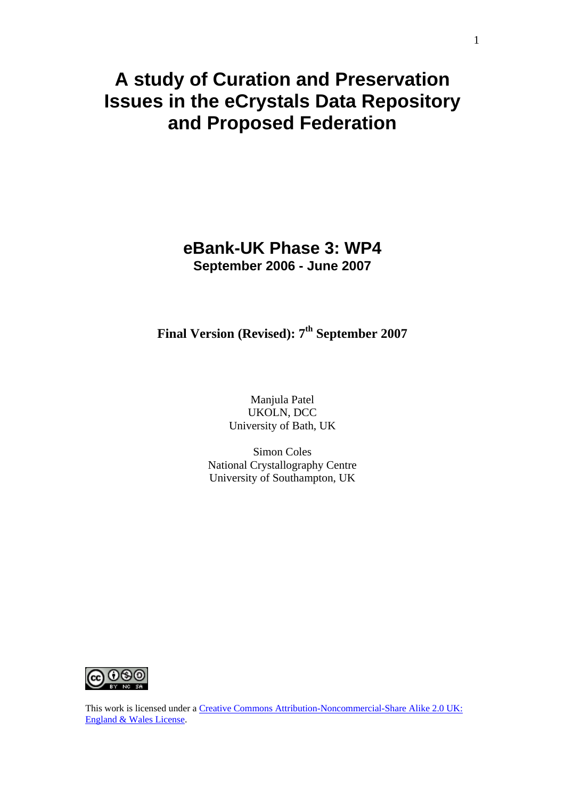# **A study of Curation and Preservation Issues in the eCrystals Data Repository and Proposed Federation**

## **eBank-UK Phase 3: WP4 September 2006 - June 2007**

## **Final Version (Revised): 7<sup>th</sup> September 2007**

Manjula Patel UKOLN, DCC University of Bath, UK

Simon Coles National Crystallography Centre University of Southampton, UK



This work is licensed under a Creative Commons Attribution-Noncommercial-Share Alike 2.0 UK: [England & Wales License](http://creativecommons.org/licenses/by-nc-sa/2.0/uk).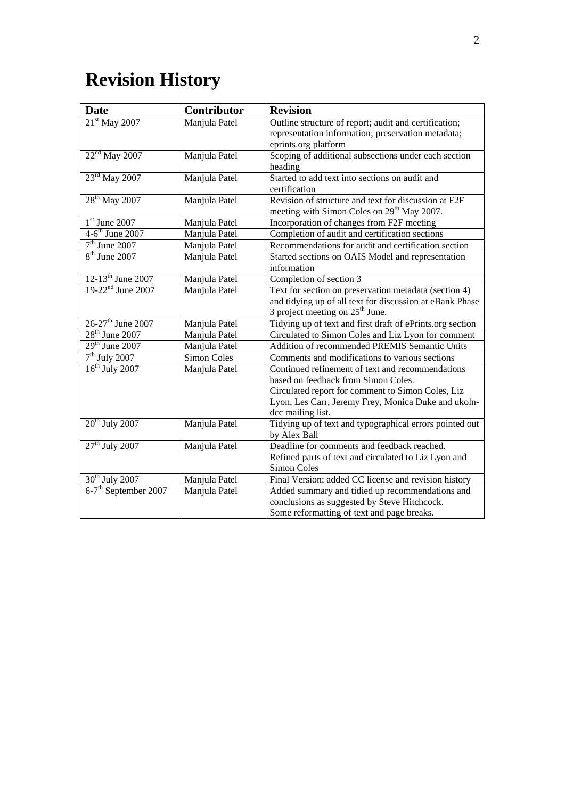# **Revision History**

| <b>Date</b>                      | Contributor        | <b>Revision</b>                                           |
|----------------------------------|--------------------|-----------------------------------------------------------|
| 21 <sup>st</sup> May 2007        | Manjula Patel      | Outline structure of report; audit and certification;     |
|                                  |                    | representation information; preservation metadata;        |
|                                  |                    | eprints.org platform                                      |
| $22nd$ May 2007                  | Manjula Patel      | Scoping of additional subsections under each section      |
|                                  |                    | heading                                                   |
| $23^{\text{rd}}$ May 2007        | Manjula Patel      | Started to add text into sections on audit and            |
|                                  |                    | certification                                             |
| $28th$ May 2007                  | Manjula Patel      | Revision of structure and text for discussion at F2F      |
|                                  |                    | meeting with Simon Coles on 29 <sup>th</sup> May 2007.    |
| $1st$ June 2007                  | Manjula Patel      | Incorporation of changes from F2F meeting                 |
| $4-6$ <sup>th</sup> June 2007    | Manjula Patel      | Completion of audit and certification sections            |
| $7th$ June 2007                  | Manjula Patel      | Recommendations for audit and certification section       |
| $\overline{8^{th}}$ June 2007    | Manjula Patel      | Started sections on OAIS Model and representation         |
|                                  |                    | information                                               |
| $12-13^{th}$ June 2007           | Manjula Patel      | Completion of section 3                                   |
| $19-22^{nd}$ June 2007           | Manjula Patel      | Text for section on preservation metadata (section 4)     |
|                                  |                    | and tidying up of all text for discussion at eBank Phase  |
|                                  |                    | 3 project meeting on $25th$ June.                         |
| $26-27$ <sup>th</sup> June 2007  | Manjula Patel      | Tidying up of text and first draft of ePrints.org section |
| $28th$ June 2007                 | Manjula Patel      | Circulated to Simon Coles and Liz Lyon for comment        |
| $29th$ June 2007                 | Manjula Patel      | Addition of recommended PREMIS Semantic Units             |
| $7th$ July 2007                  | <b>Simon Coles</b> | Comments and modifications to various sections            |
| $16th$ July 2007                 | Manjula Patel      | Continued refinement of text and recommendations          |
|                                  |                    | based on feedback from Simon Coles.                       |
|                                  |                    | Circulated report for comment to Simon Coles, Liz         |
|                                  |                    | Lyon, Les Carr, Jeremy Frey, Monica Duke and ukoln-       |
|                                  |                    | dcc mailing list.                                         |
| $20th$ July 2007                 | Manjula Patel      | Tidying up of text and typographical errors pointed out   |
|                                  |                    | by Alex Ball                                              |
| $27th$ July 2007                 | Manjula Patel      | Deadline for comments and feedback reached.               |
|                                  |                    | Refined parts of text and circulated to Liz Lyon and      |
|                                  |                    | Simon Coles                                               |
| 30 <sup>th</sup> July 2007       | Manjula Patel      | Final Version; added CC license and revision history      |
| 6-7 <sup>th</sup> September 2007 | Manjula Patel      | Added summary and tidied up recommendations and           |
|                                  |                    | conclusions as suggested by Steve Hitchcock.              |
|                                  |                    | Some reformatting of text and page breaks.                |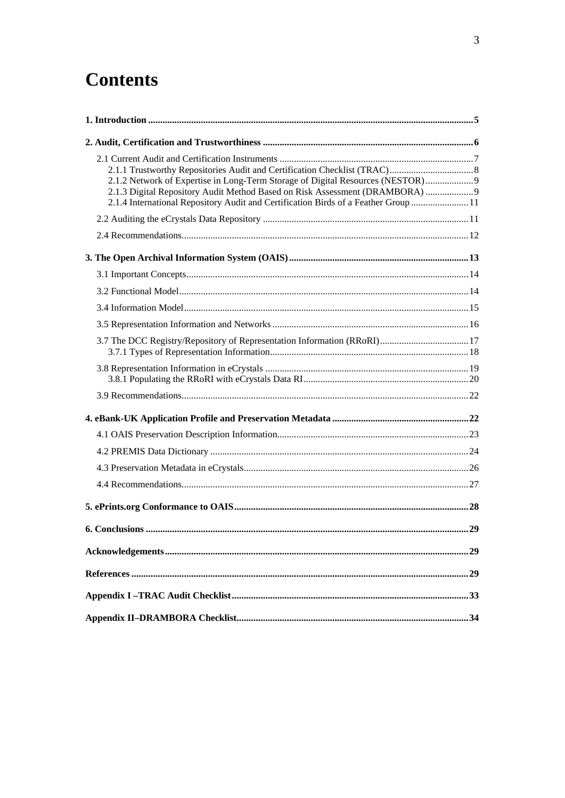# **Contents**

| 2.1.2 Network of Expertise in Long-Term Storage of Digital Resources (NESTOR)<br>2.1.3 Digital Repository Audit Method Based on Risk Assessment (DRAMBORA)  9<br>2.1.4 International Repository Audit and Certification Birds of a Feather Group 11 |  |
|-----------------------------------------------------------------------------------------------------------------------------------------------------------------------------------------------------------------------------------------------------|--|
|                                                                                                                                                                                                                                                     |  |
|                                                                                                                                                                                                                                                     |  |
|                                                                                                                                                                                                                                                     |  |
|                                                                                                                                                                                                                                                     |  |
|                                                                                                                                                                                                                                                     |  |
|                                                                                                                                                                                                                                                     |  |
|                                                                                                                                                                                                                                                     |  |
|                                                                                                                                                                                                                                                     |  |
|                                                                                                                                                                                                                                                     |  |
|                                                                                                                                                                                                                                                     |  |
|                                                                                                                                                                                                                                                     |  |
|                                                                                                                                                                                                                                                     |  |
|                                                                                                                                                                                                                                                     |  |
|                                                                                                                                                                                                                                                     |  |
|                                                                                                                                                                                                                                                     |  |
|                                                                                                                                                                                                                                                     |  |
|                                                                                                                                                                                                                                                     |  |
|                                                                                                                                                                                                                                                     |  |
|                                                                                                                                                                                                                                                     |  |
|                                                                                                                                                                                                                                                     |  |
|                                                                                                                                                                                                                                                     |  |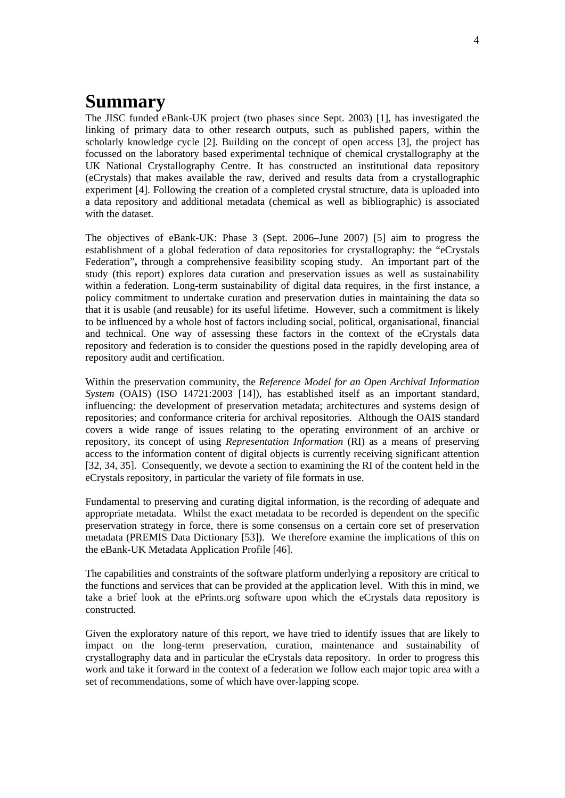# **Summary**

The JISC funded eBank-UK project (two phases since Sept. 2003) [\[1\]](#page-28-1), has investigated the linking of primary data to other research outputs, such as published papers, within the scholarly knowledge cycle [[2](#page-28-2)]. Building on the concept of open access [\[3\]](#page-28-3), the project has focussed on the laboratory based experimental technique of chemical crystallography at the UK National Crystallography Centre. It has constructed an institutional data repository (eCrystals) that makes available the raw, derived and results data from a crystallographic experiment [\[4\]](#page-28-4). Following the creation of a completed crystal structure, data is uploaded into a data repository and additional metadata (chemical as well as bibliographic) is associated with the dataset.

The objectives of eBank-UK: Phase 3 (Sept. 2006–June 2007) [\[5\]](#page-28-5) aim to progress the establishment of a global federation of data repositories for crystallography: the "eCrystals Federation"**,** through a comprehensive feasibility scoping study. An important part of the study (this report) explores data curation and preservation issues as well as sustainability within a federation. Long-term sustainability of digital data requires, in the first instance, a policy commitment to undertake curation and preservation duties in maintaining the data so that it is usable (and reusable) for its useful lifetime. However, such a commitment is likely to be influenced by a whole host of factors including social, political, organisational, financial and technical. One way of assessing these factors in the context of the eCrystals data repository and federation is to consider the questions posed in the rapidly developing area of repository audit and certification.

Within the preservation community, the *Reference Model for an Open Archival Information System* (OAIS) (ISO 14721:2003 [[14\]](#page-28-6)), has established itself as an important standard, influencing: the development of preservation metadata; architectures and systems design of repositories; and conformance criteria for archival repositories. Although the OAIS standard covers a wide range of issues relating to the operating environment of an archive or repository, its concept of using *Representation Information* (RI) as a means of preserving access to the information content of digital objects is currently receiving significant attention [[32,](#page-29-0) [34](#page-29-1), [35\]](#page-29-2). Consequently, we devote a section to examining the RI of the content held in the eCrystals repository, in particular the variety of file formats in use.

Fundamental to preserving and curating digital information, is the recording of adequate and appropriate metadata. Whilst the exact metadata to be recorded is dependent on the specific preservation strategy in force, there is some consensus on a certain core set of preservation metadata (PREMIS Data Dictionary [\[53](#page-30-0)]). We therefore examine the implications of this on the eBank-UK Metadata Application Profile [\[46](#page-30-1)].

The capabilities and constraints of the software platform underlying a repository are critical to the functions and services that can be provided at the application level. With this in mind, we take a brief look at the ePrints.org software upon which the eCrystals data repository is constructed.

Given the exploratory nature of this report, we have tried to identify issues that are likely to impact on the long-term preservation, curation, maintenance and sustainability of crystallography data and in particular the eCrystals data repository. In order to progress this work and take it forward in the context of a federation we follow each major topic area with a set of recommendations, some of which have over-lapping scope.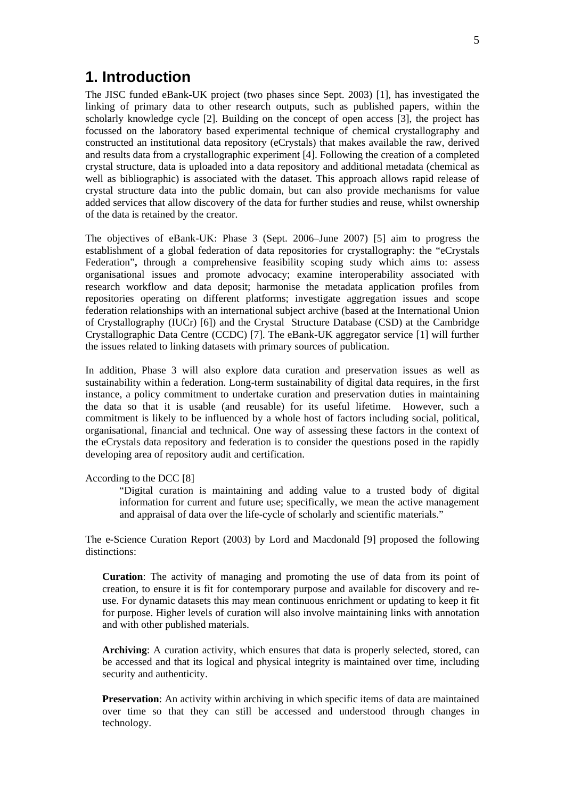### <span id="page-4-0"></span>**1. Introduction**

The JISC funded eBank-UK project (two phases since Sept. 2003) [\[1\]](#page-28-1), has investigated the linking of primary data to other research outputs, such as published papers, within the scholarly knowledge cycle [[2](#page-28-2)]. Building on the concept of open access [\[3\]](#page-28-3), the project has focussed on the laboratory based experimental technique of chemical crystallography and constructed an institutional data repository (eCrystals) that makes available the raw, derived and results data from a crystallographic experiment [[4](#page-28-4)]. Following the creation of a completed crystal structure, data is uploaded into a data repository and additional metadata (chemical as well as bibliographic) is associated with the dataset. This approach allows rapid release of crystal structure data into the public domain, but can also provide mechanisms for value added services that allow discovery of the data for further studies and reuse, whilst ownership of the data is retained by the creator.

The objectives of eBank-UK: Phase 3 (Sept. 2006–June 2007) [\[5\]](#page-28-5) aim to progress the establishment of a global federation of data repositories for crystallography: the "eCrystals Federation"**,** through a comprehensive feasibility scoping study which aims to: assess organisational issues and promote advocacy; examine interoperability associated with research workflow and data deposit; harmonise the metadata application profiles from repositories operating on different platforms; investigate aggregation issues and scope federation relationships with an international subject archive (based at the International Union of Crystallography (IUCr) [[6](#page-28-7)]) and the Crystal Structure Database (CSD) at the Cambridge Crystallographic Data Centre (CCDC) [[7](#page-28-8)]. The eBank-UK aggregator service [\[1](#page-28-1)] will further the issues related to linking datasets with primary sources of publication.

In addition, Phase 3 will also explore data curation and preservation issues as well as sustainability within a federation. Long-term sustainability of digital data requires, in the first instance, a policy commitment to undertake curation and preservation duties in maintaining the data so that it is usable (and reusable) for its useful lifetime. However, such a commitment is likely to be influenced by a whole host of factors including social, political, organisational, financial and technical. One way of assessing these factors in the context of the eCrystals data repository and federation is to consider the questions posed in the rapidly developing area of repository audit and certification.

#### According to the DCC [[8](#page-28-9)]

"Digital curation is maintaining and adding value to a trusted body of digital information for current and future use; specifically, we mean the active management and appraisal of data over the life-cycle of scholarly and scientific materials."

The e-Science Curation Report (2003) by Lord and Macdonald [[9](#page-28-10)] proposed the following distinctions:

**Curation**: The activity of managing and promoting the use of data from its point of creation, to ensure it is fit for contemporary purpose and available for discovery and reuse. For dynamic datasets this may mean continuous enrichment or updating to keep it fit for purpose. Higher levels of curation will also involve maintaining links with annotation and with other published materials.

**Archiving**: A curation activity, which ensures that data is properly selected, stored, can be accessed and that its logical and physical integrity is maintained over time, including security and authenticity.

**Preservation**: An activity within archiving in which specific items of data are maintained over time so that they can still be accessed and understood through changes in technology.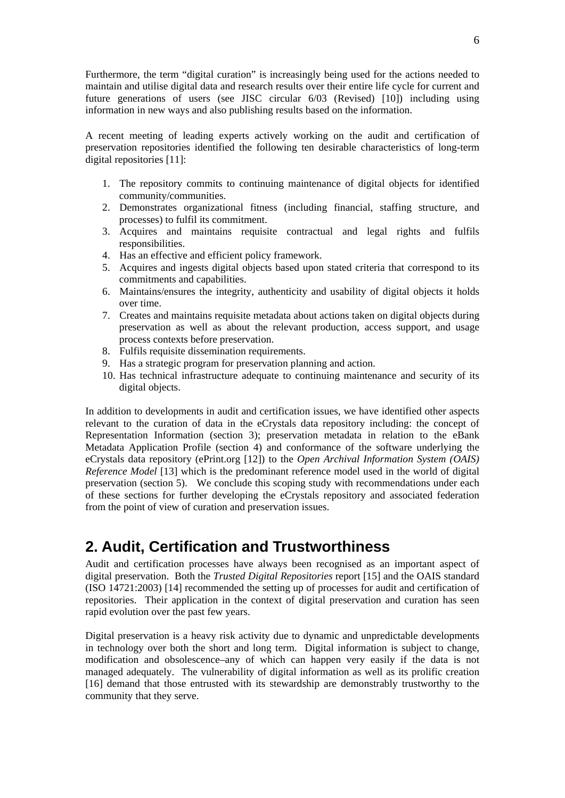<span id="page-5-0"></span>Furthermore, the term "digital curation" is increasingly being used for the actions needed to maintain and utilise digital data and research results over their entire life cycle for current and future generations of users (see JISC circular 6/03 (Revised) [\[10](#page-28-11)]) including using information in new ways and also publishing results based on the information.

A recent meeting of leading experts actively working on the audit and certification of preservation repositories identified the following ten desirable characteristics of long-term digital repositories [\[11\]](#page-28-12):

- 1. The repository commits to continuing maintenance of digital objects for identified community/communities.
- 2. Demonstrates organizational fitness (including financial, staffing structure, and processes) to fulfil its commitment.
- 3. Acquires and maintains requisite contractual and legal rights and fulfils responsibilities.
- 4. Has an effective and efficient policy framework.
- 5. Acquires and ingests digital objects based upon stated criteria that correspond to its commitments and capabilities.
- 6. Maintains/ensures the integrity, authenticity and usability of digital objects it holds over time.
- 7. Creates and maintains requisite metadata about actions taken on digital objects during preservation as well as about the relevant production, access support, and usage process contexts before preservation.
- 8. Fulfils requisite dissemination requirements.
- 9. Has a strategic program for preservation planning and action.
- 10. Has technical infrastructure adequate to continuing maintenance and security of its digital objects.

In addition to developments in audit and certification issues, we have identified other aspects relevant to the curation of data in the eCrystals data repository including: the concept of Representation Information (section 3); preservation metadata in relation to the eBank Metadata Application Profile (section 4) and conformance of the software underlying the eCrystals data repository (ePrint.org [\[12](#page-28-13)]) to the *Open Archival Information System (OAIS) Reference Model* [[13\]](#page-28-14) which is the predominant reference model used in the world of digital preservation (section 5). We conclude this scoping study with recommendations under each of these sections for further developing the eCrystals repository and associated federation from the point of view of curation and preservation issues.

## **2. Audit, Certification and Trustworthiness**

Audit and certification processes have always been recognised as an important aspect of digital preservation. Both the *Trusted Digital Repositories* report [\[15](#page-29-3)] and the OAIS standard (ISO 14721:2003) [\[14](#page-28-6)] recommended the setting up of processes for audit and certification of repositories. Their application in the context of digital preservation and curation has seen rapid evolution over the past few years.

Digital preservation is a heavy risk activity due to dynamic and unpredictable developments in technology over both the short and long term. Digital information is subject to change, modification and obsolescence–any of which can happen very easily if the data is not managed adequately. The vulnerability of digital information as well as its prolific creation [[16\]](#page-29-4) demand that those entrusted with its stewardship are demonstrably trustworthy to the community that they serve.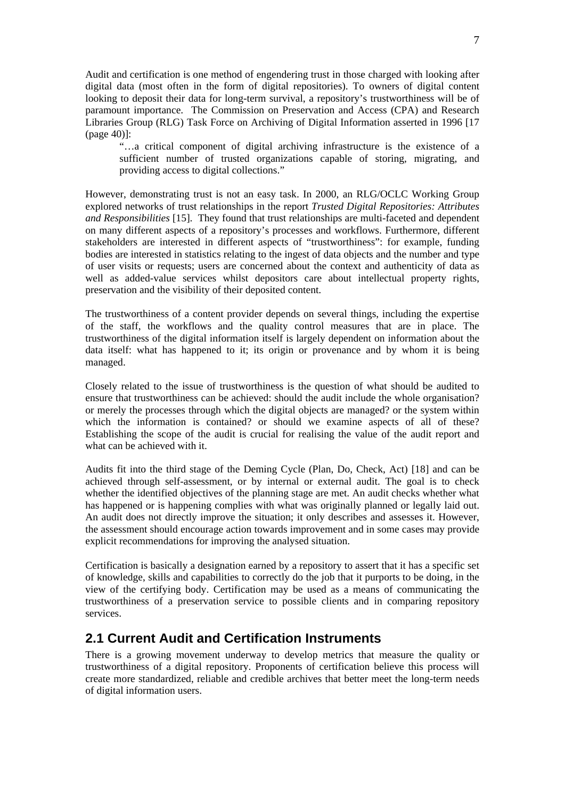<span id="page-6-0"></span>Audit and certification is one method of engendering trust in those charged with looking after digital data (most often in the form of digital repositories). To owners of digital content looking to deposit their data for long-term survival, a repository's trustworthiness will be of paramount importance. The Commission on Preservation and Access (CPA) and Research Libraries Group (RLG) Task Force on Archiving of Digital Information asserted in 1996 [\[17](#page-29-5) (page 40)]:

"…a critical component of digital archiving infrastructure is the existence of a sufficient number of trusted organizations capable of storing, migrating, and providing access to digital collections."

However, demonstrating trust is not an easy task. In 2000, an RLG/OCLC Working Group explored networks of trust relationships in the report *Trusted Digital Repositories: Attributes and Responsibilities* [[15\]](#page-29-3). They found that trust relationships are multi-faceted and dependent on many different aspects of a repository's processes and workflows. Furthermore, different stakeholders are interested in different aspects of "trustworthiness": for example, funding bodies are interested in statistics relating to the ingest of data objects and the number and type of user visits or requests; users are concerned about the context and authenticity of data as well as added-value services whilst depositors care about intellectual property rights, preservation and the visibility of their deposited content.

The trustworthiness of a content provider depends on several things, including the expertise of the staff, the workflows and the quality control measures that are in place. The trustworthiness of the digital information itself is largely dependent on information about the data itself: what has happened to it; its origin or provenance and by whom it is being managed.

Closely related to the issue of trustworthiness is the question of what should be audited to ensure that trustworthiness can be achieved: should the audit include the whole organisation? or merely the processes through which the digital objects are managed? or the system within which the information is contained? or should we examine aspects of all of these? Establishing the scope of the audit is crucial for realising the value of the audit report and what can be achieved with it.

Audits fit into the third stage of the Deming Cycle (Plan, Do, Check, Act) [\[18\]](#page-29-6) and can be achieved through self-assessment, or by internal or external audit. The goal is to check whether the identified objectives of the planning stage are met. An audit checks whether what has happened or is happening complies with what was originally planned or legally laid out. An audit does not directly improve the situation; it only describes and assesses it. However, the assessment should encourage action towards improvement and in some cases may provide explicit recommendations for improving the analysed situation.

Certification is basically a designation earned by a repository to assert that it has a specific set of knowledge, skills and capabilities to correctly do the job that it purports to be doing, in the view of the certifying body. Certification may be used as a means of communicating the trustworthiness of a preservation service to possible clients and in comparing repository services.

## **2.1 Current Audit and Certification Instruments**

There is a growing movement underway to develop metrics that measure the quality or trustworthiness of a digital repository. Proponents of certification believe this process will create more standardized, reliable and credible archives that better meet the long-term needs of digital information users.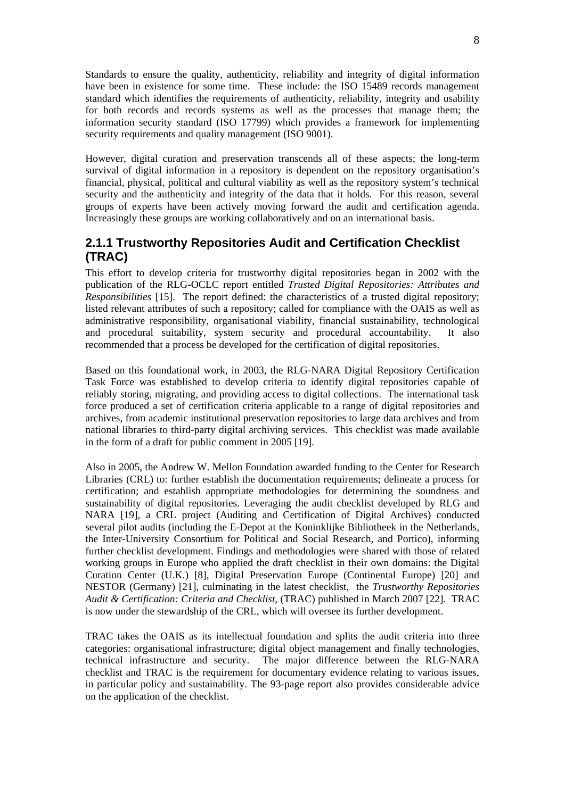<span id="page-7-0"></span>Standards to ensure the quality, authenticity, reliability and integrity of digital information have been in existence for some time. These include: the ISO 15489 records management standard which identifies the requirements of authenticity, reliability, integrity and usability for both records and records systems as well as the processes that manage them; the information security standard (ISO 17799) which provides a framework for implementing security requirements and quality management (ISO 9001).

However, digital curation and preservation transcends all of these aspects; the long-term survival of digital information in a repository is dependent on the repository organisation's financial, physical, political and cultural viability as well as the repository system's technical security and the authenticity and integrity of the data that it holds. For this reason, several groups of experts have been actively moving forward the audit and certification agenda. Increasingly these groups are working collaboratively and on an international basis.

### **2.1.1 Trustworthy Repositories Audit and Certification Checklist (TRAC)**

This effort to develop criteria for trustworthy digital repositories began in 2002 with the publication of the RLG-OCLC report entitled *Trusted Digital Repositories: Attributes and Responsibilities* [\[15](#page-29-3)]. The report defined: the characteristics of a trusted digital repository; listed relevant attributes of such a repository; called for compliance with the OAIS as well as administrative responsibility, organisational viability, financial sustainability, technological and procedural suitability, system security and procedural accountability. It also recommended that a process be developed for the certification of digital repositories.

Based on this foundational work, in 2003, the RLG-NARA Digital Repository Certification Task Force was established to develop criteria to identify digital repositories capable of reliably storing, migrating, and providing access to digital collections. The international task force produced a set of certification criteria applicable to a range of digital repositories and archives, from academic institutional preservation repositories to large data archives and from national libraries to third-party digital archiving services. This checklist was made available in the form of a draft for public comment in 2005 [[19\]](#page-29-7).

Also in 2005, the Andrew W. Mellon Foundation awarded funding to the Center for Research Libraries (CRL) to: further establish the documentation requirements; delineate a process for certification; and establish appropriate methodologies for determining the soundness and sustainability of digital repositories. Leveraging the audit checklist developed by RLG and NARA [[19\]](#page-29-7), a CRL project (Auditing and Certification of Digital Archives) conducted several pilot audits (including the E-Depot at the Koninklijke Bibliotheek in the Netherlands, the Inter-University Consortium for Political and Social Research, and Portico), informing further checklist development. Findings and methodologies were shared with those of related working groups in Europe who applied the draft checklist in their own domains: the Digital Curation Center (U.K.) [\[8](#page-28-9)], Digital Preservation Europe (Continental Europe) [\[20\]](#page-29-8) and NESTOR (Germany) [\[21](#page-29-9)], culminating in the latest checklist, the *Trustworthy Repositories Audit & Certification: Criteria and Checklist*, (TRAC) published in March 2007 [[22\]](#page-29-10). TRAC is now under the stewardship of the CRL, which will oversee its further development.

TRAC takes the OAIS as its intellectual foundation and splits the audit criteria into three categories: organisational infrastructure; digital object management and finally technologies, technical infrastructure and security. The major difference between the RLG-NARA checklist and TRAC is the requirement for documentary evidence relating to various issues, in particular policy and sustainability. The 93-page report also provides considerable advice on the application of the checklist.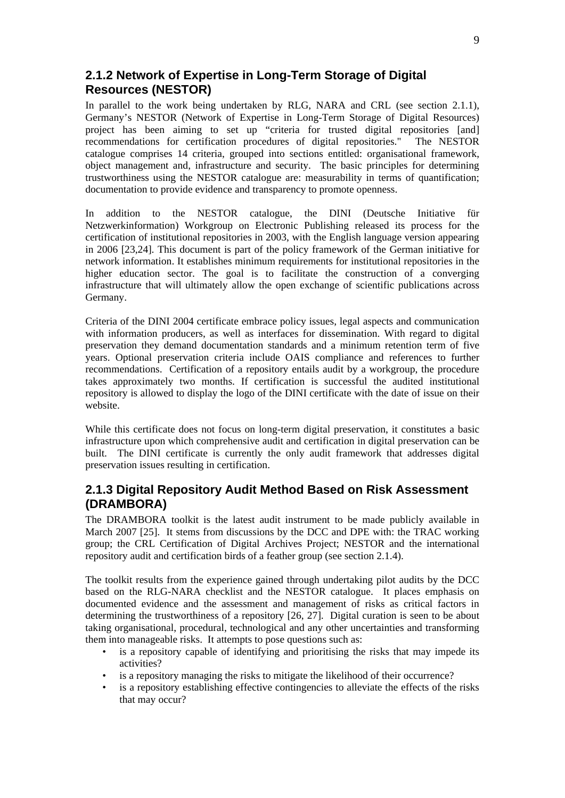### <span id="page-8-0"></span>**2.1.2 Network of Expertise in Long-Term Storage of Digital Resources (NESTOR)**

In parallel to the work being undertaken by RLG, NARA and CRL (see section 2.1.1), Germany's NESTOR (Network of Expertise in Long-Term Storage of Digital Resources) project has been aiming to set up "criteria for trusted digital repositories [and] recommendations for certification procedures of digital repositories." The NESTOR catalogue comprises 14 criteria, grouped into sections entitled: organisational framework, object management and, infrastructure and security. The basic principles for determining trustworthiness using the NESTOR catalogue are: measurability in terms of quantification; documentation to provide evidence and transparency to promote openness.

In addition to the NESTOR catalogue, the DINI (Deutsche Initiative für Netzwerkinformation) Workgroup on Electronic Publishing released its process for the certification of institutional repositories in 2003, with the English language version appearing in 2006 [\[23](#page-29-11)[,24](#page-29-12)]. This document is part of the policy framework of the German initiative for network information. It establishes minimum requirements for institutional repositories in the higher education sector. The goal is to facilitate the construction of a converging infrastructure that will ultimately allow the open exchange of scientific publications across Germany.

Criteria of the DINI 2004 certificate embrace policy issues, legal aspects and communication with information producers, as well as interfaces for dissemination. With regard to digital preservation they demand documentation standards and a minimum retention term of five years. Optional preservation criteria include OAIS compliance and references to further recommendations. Certification of a repository entails audit by a workgroup, the procedure takes approximately two months. If certification is successful the audited institutional repository is allowed to display the logo of the DINI certificate with the date of issue on their website.

While this certificate does not focus on long-term digital preservation, it constitutes a basic infrastructure upon which comprehensive audit and certification in digital preservation can be built. The DINI certificate is currently the only audit framework that addresses digital preservation issues resulting in certification.

### **2.1.3 Digital Repository Audit Method Based on Risk Assessment (DRAMBORA)**

The DRAMBORA toolkit is the latest audit instrument to be made publicly available in March 2007 [\[25](#page-29-13)]. It stems from discussions by the DCC and DPE with: the TRAC working group; the CRL Certification of Digital Archives Project; NESTOR and the international repository audit and certification birds of a feather group (see section 2.1.4).

The toolkit results from the experience gained through undertaking pilot audits by the DCC based on the RLG-NARA checklist and the NESTOR catalogue. It places emphasis on documented evidence and the assessment and management of risks as critical factors in determining the trustworthiness of a repository [[26,](#page-29-14) [27\]](#page-29-15). Digital curation is seen to be about taking organisational, procedural, technological and any other uncertainties and transforming them into manageable risks. It attempts to pose questions such as:

- is a repository capable of identifying and prioritising the risks that may impede its activities?
- is a repository managing the risks to mitigate the likelihood of their occurrence?
- is a repository establishing effective contingencies to alleviate the effects of the risks that may occur?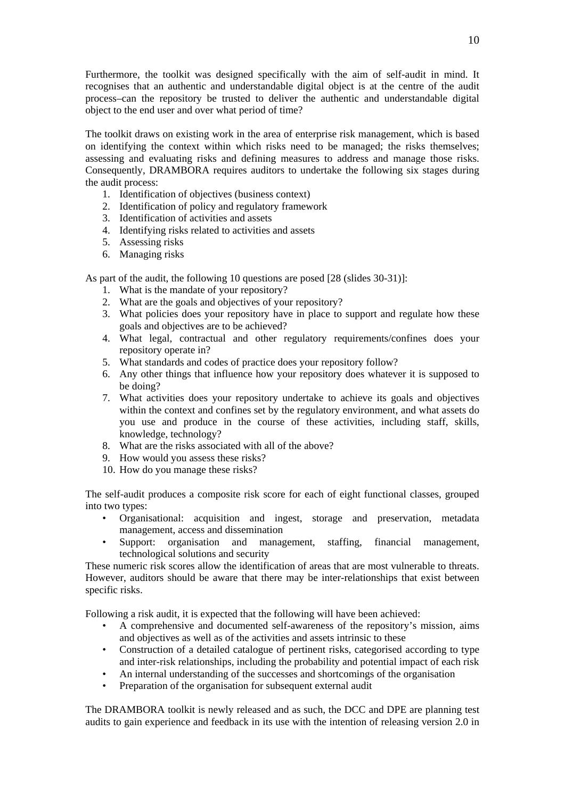Furthermore, the toolkit was designed specifically with the aim of self-audit in mind. It recognises that an authentic and understandable digital object is at the centre of the audit process–can the repository be trusted to deliver the authentic and understandable digital object to the end user and over what period of time?

The toolkit draws on existing work in the area of enterprise risk management, which is based on identifying the context within which risks need to be managed; the risks themselves; assessing and evaluating risks and defining measures to address and manage those risks. Consequently, DRAMBORA requires auditors to undertake the following six stages during the audit process:

- 1. Identification of objectives (business context)
- 2. Identification of policy and regulatory framework
- 3. Identification of activities and assets
- 4. Identifying risks related to activities and assets
- 5. Assessing risks
- 6. Managing risks

As part of the audit, the following 10 questions are posed [\[28](#page-29-16) (slides 30-31)]:

- 1. What is the mandate of your repository?
- 2. What are the goals and objectives of your repository?
- 3. What policies does your repository have in place to support and regulate how these goals and objectives are to be achieved?
- 4. What legal, contractual and other regulatory requirements/confines does your repository operate in?
- 5. What standards and codes of practice does your repository follow?
- 6. Any other things that influence how your repository does whatever it is supposed to be doing?
- 7. What activities does your repository undertake to achieve its goals and objectives within the context and confines set by the regulatory environment, and what assets do you use and produce in the course of these activities, including staff, skills, knowledge, technology?
- 8. What are the risks associated with all of the above?
- 9. How would you assess these risks?
- 10. How do you manage these risks?

The self-audit produces a composite risk score for each of eight functional classes, grouped into two types:

- Organisational: acquisition and ingest, storage and preservation, metadata management, access and dissemination
- Support: organisation and management, staffing, financial management, technological solutions and security

These numeric risk scores allow the identification of areas that are most vulnerable to threats. However, auditors should be aware that there may be inter-relationships that exist between specific risks.

Following a risk audit, it is expected that the following will have been achieved:

- A comprehensive and documented self-awareness of the repository's mission, aims and objectives as well as of the activities and assets intrinsic to these
- Construction of a detailed catalogue of pertinent risks, categorised according to type and inter-risk relationships, including the probability and potential impact of each risk
- An internal understanding of the successes and shortcomings of the organisation
- Preparation of the organisation for subsequent external audit

The DRAMBORA toolkit is newly released and as such, the DCC and DPE are planning test audits to gain experience and feedback in its use with the intention of releasing version 2.0 in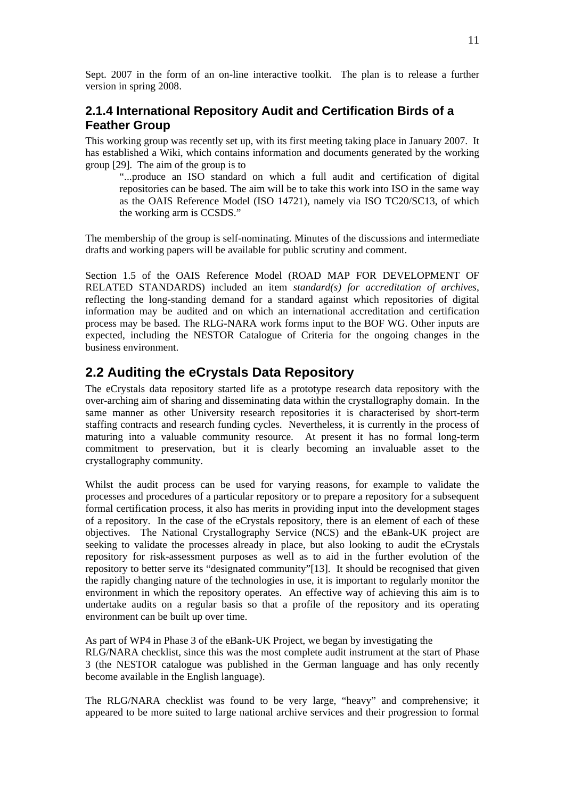<span id="page-10-0"></span>Sept. 2007 in the form of an on-line interactive toolkit. The plan is to release a further version in spring 2008.

### **2.1.4 International Repository Audit and Certification Birds of a Feather Group**

This working group was recently set up, with its first meeting taking place in January 2007. It has established a Wiki, which contains information and documents generated by the working group [\[29](#page-29-17)]. The aim of the group is to

"...produce an ISO standard on which a full audit and certification of digital repositories can be based. The aim will be to take this work into ISO in the same way as the OAIS Reference Model (ISO 14721), namely via ISO TC20/SC13, of which the working arm is CCSDS."

The membership of the group is self-nominating. Minutes of the discussions and intermediate drafts and working papers will be available for public scrutiny and comment.

Section 1.5 of the OAIS Reference Model (ROAD MAP FOR DEVELOPMENT OF RELATED STANDARDS) included an item *standard(s) for accreditation of archives*, reflecting the long-standing demand for a standard against which repositories of digital information may be audited and on which an international accreditation and certification process may be based. The RLG-NARA work forms input to the BOF WG. Other inputs are expected, including the NESTOR Catalogue of Criteria for the ongoing changes in the business environment.

## **2.2 Auditing the eCrystals Data Repository**

The eCrystals data repository started life as a prototype research data repository with the over-arching aim of sharing and disseminating data within the crystallography domain. In the same manner as other University research repositories it is characterised by short-term staffing contracts and research funding cycles. Nevertheless, it is currently in the process of maturing into a valuable community resource. At present it has no formal long-term commitment to preservation, but it is clearly becoming an invaluable asset to the crystallography community.

Whilst the audit process can be used for varying reasons, for example to validate the processes and procedures of a particular repository or to prepare a repository for a subsequent formal certification process, it also has merits in providing input into the development stages of a repository. In the case of the eCrystals repository, there is an element of each of these objectives. The National Crystallography Service (NCS) and the eBank-UK project are seeking to validate the processes already in place, but also looking to audit the eCrystals repository for risk-assessment purposes as well as to aid in the further evolution of the repository to better serve its "designated community"[\[13](#page-28-14)]. It should be recognised that given the rapidly changing nature of the technologies in use, it is important to regularly monitor the environment in which the repository operates. An effective way of achieving this aim is to undertake audits on a regular basis so that a profile of the repository and its operating environment can be built up over time.

As part of WP4 in Phase 3 of the eBank-UK Project, we began by investigating the RLG/NARA checklist, since this was the most complete audit instrument at the start of Phase 3 (the NESTOR catalogue was published in the German language and has only recently become available in the English language).

The RLG/NARA checklist was found to be very large, "heavy" and comprehensive; it appeared to be more suited to large national archive services and their progression to formal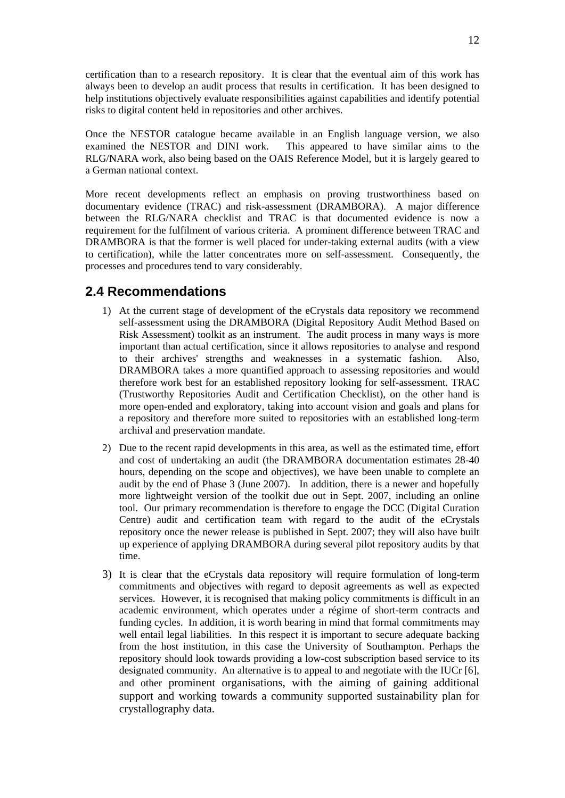<span id="page-11-0"></span>certification than to a research repository. It is clear that the eventual aim of this work has always been to develop an audit process that results in certification. It has been designed to help institutions objectively evaluate responsibilities against capabilities and identify potential risks to digital content held in repositories and other archives.

Once the NESTOR catalogue became available in an English language version, we also examined the NESTOR and DINI work. This appeared to have similar aims to the RLG/NARA work, also being based on the OAIS Reference Model, but it is largely geared to a German national context.

More recent developments reflect an emphasis on proving trustworthiness based on documentary evidence (TRAC) and risk-assessment (DRAMBORA). A major difference between the RLG/NARA checklist and TRAC is that documented evidence is now a requirement for the fulfilment of various criteria. A prominent difference between TRAC and DRAMBORA is that the former is well placed for under-taking external audits (with a view to certification), while the latter concentrates more on self-assessment. Consequently, the processes and procedures tend to vary considerably.

## **2.4 Recommendations**

- 1) At the current stage of development of the eCrystals data repository we recommend self-assessment using the DRAMBORA (Digital Repository Audit Method Based on Risk Assessment) toolkit as an instrument. The audit process in many ways is more important than actual certification, since it allows repositories to analyse and respond to their archives' strengths and weaknesses in a systematic fashion. Also, DRAMBORA takes a more quantified approach to assessing repositories and would therefore work best for an established repository looking for self-assessment. TRAC (Trustworthy Repositories Audit and Certification Checklist), on the other hand is more open-ended and exploratory, taking into account vision and goals and plans for a repository and therefore more suited to repositories with an established long-term archival and preservation mandate.
- 2) Due to the recent rapid developments in this area, as well as the estimated time, effort and cost of undertaking an audit (the DRAMBORA documentation estimates 28-40 hours, depending on the scope and objectives), we have been unable to complete an audit by the end of Phase 3 (June 2007). In addition, there is a newer and hopefully more lightweight version of the toolkit due out in Sept. 2007, including an online tool. Our primary recommendation is therefore to engage the DCC (Digital Curation Centre) audit and certification team with regard to the audit of the eCrystals repository once the newer release is published in Sept. 2007; they will also have built up experience of applying DRAMBORA during several pilot repository audits by that time.
- 3) It is clear that the eCrystals data repository will require formulation of long-term commitments and objectives with regard to deposit agreements as well as expected services. However, it is recognised that making policy commitments is difficult in an academic environment, which operates under a régime of short-term contracts and funding cycles. In addition, it is worth bearing in mind that formal commitments may well entail legal liabilities. In this respect it is important to secure adequate backing from the host institution, in this case the University of Southampton. Perhaps the repository should look towards providing a low-cost subscription based service to its designated community. An alternative is to appeal to and negotiate with the IUCr [\[6\]](#page-28-7), and other prominent organisations, with the aiming of gaining additional support and working towards a community supported sustainability plan for crystallography data.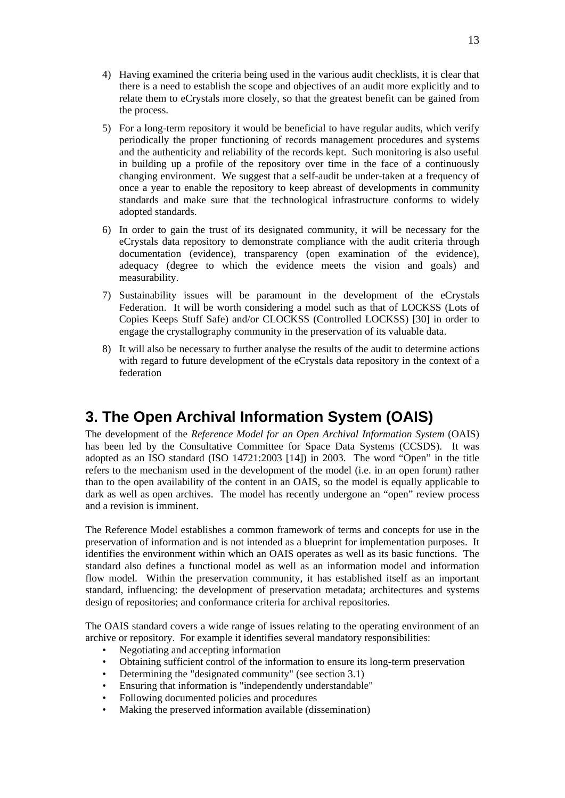- <span id="page-12-0"></span>4) Having examined the criteria being used in the various audit checklists, it is clear that there is a need to establish the scope and objectives of an audit more explicitly and to relate them to eCrystals more closely, so that the greatest benefit can be gained from the process.
- 5) For a long-term repository it would be beneficial to have regular audits, which verify periodically the proper functioning of records management procedures and systems and the authenticity and reliability of the records kept. Such monitoring is also useful in building up a profile of the repository over time in the face of a continuously changing environment. We suggest that a self-audit be under-taken at a frequency of once a year to enable the repository to keep abreast of developments in community standards and make sure that the technological infrastructure conforms to widely adopted standards.
- 6) In order to gain the trust of its designated community, it will be necessary for the eCrystals data repository to demonstrate compliance with the audit criteria through documentation (evidence), transparency (open examination of the evidence), adequacy (degree to which the evidence meets the vision and goals) and measurability.
- 7) Sustainability issues will be paramount in the development of the eCrystals Federation. It will be worth considering a model such as that of LOCKSS (Lots of Copies Keeps Stuff Safe) and/or CLOCKSS (Controlled LOCKSS) [\[30](#page-29-18)] in order to engage the crystallography community in the preservation of its valuable data.
- 8) It will also be necessary to further analyse the results of the audit to determine actions with regard to future development of the eCrystals data repository in the context of a federation

## **3. The Open Archival Information System (OAIS)**

The development of the *Reference Model for an Open Archival Information System* (OAIS) has been led by the Consultative Committee for Space Data Systems (CCSDS). It was adopted as an ISO standard (ISO 14721:2003 [\[14](#page-28-6)]) in 2003. The word "Open" in the title refers to the mechanism used in the development of the model (i.e. in an open forum) rather than to the open availability of the content in an OAIS, so the model is equally applicable to dark as well as open archives. The model has recently undergone an "open" review process and a revision is imminent.

The Reference Model establishes a common framework of terms and concepts for use in the preservation of information and is not intended as a blueprint for implementation purposes. It identifies the environment within which an OAIS operates as well as its basic functions. The standard also defines a functional model as well as an information model and information flow model. Within the preservation community, it has established itself as an important standard, influencing: the development of preservation metadata; architectures and systems design of repositories; and conformance criteria for archival repositories.

The OAIS standard covers a wide range of issues relating to the operating environment of an archive or repository. For example it identifies several mandatory responsibilities:

- Negotiating and accepting information
- Obtaining sufficient control of the information to ensure its long-term preservation
- Determining the "designated community" (see section 3.1)
- Ensuring that information is "independently understandable"
- Following documented policies and procedures
- Making the preserved information available (dissemination)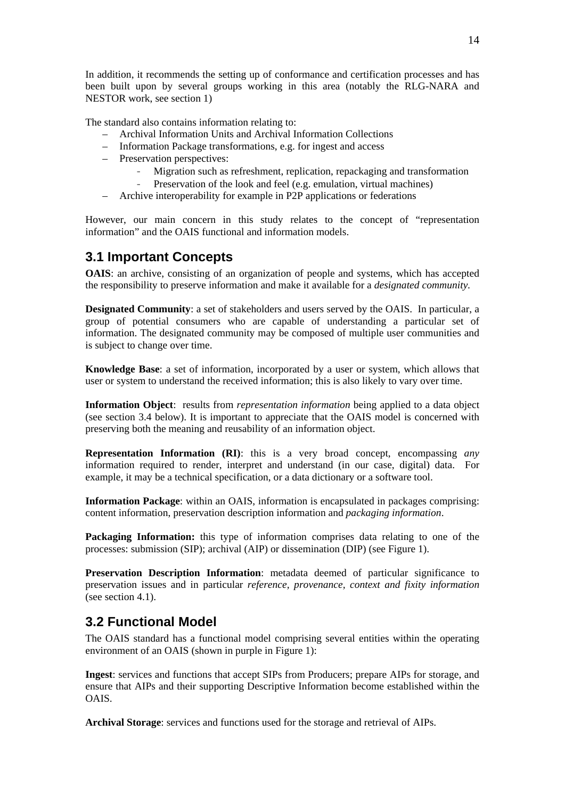<span id="page-13-0"></span>In addition, it recommends the setting up of conformance and certification processes and has been built upon by several groups working in this area (notably the RLG-NARA and NESTOR work, see section 1)

The standard also contains information relating to:

- Archival Information Units and Archival Information Collections
- Information Package transformations, e.g. for ingest and access
- Preservation perspectives:
	- Migration such as refreshment, replication, repackaging and transformation
	- Preservation of the look and feel (e.g. emulation, virtual machines)
- Archive interoperability for example in P2P applications or federations

However, our main concern in this study relates to the concept of "representation information" and the OAIS functional and information models.

## **3.1 Important Concepts**

**OAIS**: an archive, consisting of an organization of people and systems, which has accepted the responsibility to preserve information and make it available for a *designated community.* 

**Designated Community**: a set of stakeholders and users served by the OAIS. In particular, a group of potential consumers who are capable of understanding a particular set of information. The designated community may be composed of multiple user communities and is subject to change over time.

**Knowledge Base**: a set of information, incorporated by a user or system, which allows that user or system to understand the received information; this is also likely to vary over time.

**Information Object**: results from *representation information* being applied to a data object (see section 3.4 below). It is important to appreciate that the OAIS model is concerned with preserving both the meaning and reusability of an information object.

**Representation Information (RI)**: this is a very broad concept, encompassing *any*  information required to render, interpret and understand (in our case, digital) data. For example, it may be a technical specification, or a data dictionary or a software tool.

**Information Package**: within an OAIS, information is encapsulated in packages comprising: content information, preservation description information and *packaging information*.

**Packaging Information:** this type of information comprises data relating to one of the processes: submission (SIP); archival (AIP) or dissemination (DIP) (see Figure 1).

**Preservation Description Information**: metadata deemed of particular significance to preservation issues and in particular *reference, provenance, context and fixity information* (see section 4.1).

## **3.2 Functional Model**

The OAIS standard has a functional model comprising several entities within the operating environment of an OAIS (shown in purple in Figure 1):

**Ingest**: services and functions that accept SIPs from Producers; prepare AIPs for storage, and ensure that AIPs and their supporting Descriptive Information become established within the OAIS.

**Archival Storage**: services and functions used for the storage and retrieval of AIPs.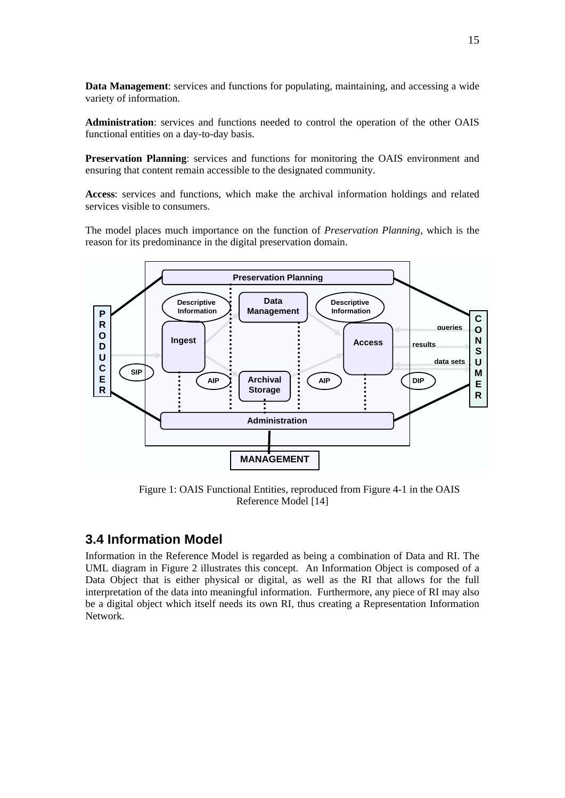<span id="page-14-0"></span>**Data Management**: services and functions for populating, maintaining, and accessing a wide variety of information.

**Administration**: services and functions needed to control the operation of the other OAIS functional entities on a day-to-day basis.

**Preservation Planning**: services and functions for monitoring the OAIS environment and ensuring that content remain accessible to the designated community.

**Access**: services and functions, which make the archival information holdings and related services visible to consumers.

The model places much importance on the function of *Preservation Planning*, which is the reason for its predominance in the digital preservation domain.



Figure 1: OAIS Functional Entities, reproduced from Figure 4-1 in the OAIS Reference Model [[14\]](#page-28-6)

## **3.4 Information Model**

Information in the Reference Model is regarded as being a combination of Data and RI. The UML diagram in Figure 2 illustrates this concept. An Information Object is composed of a Data Object that is either physical or digital, as well as the RI that allows for the full interpretation of the data into meaningful information. Furthermore, any piece of RI may also be a digital object which itself needs its own RI, thus creating a Representation Information Network.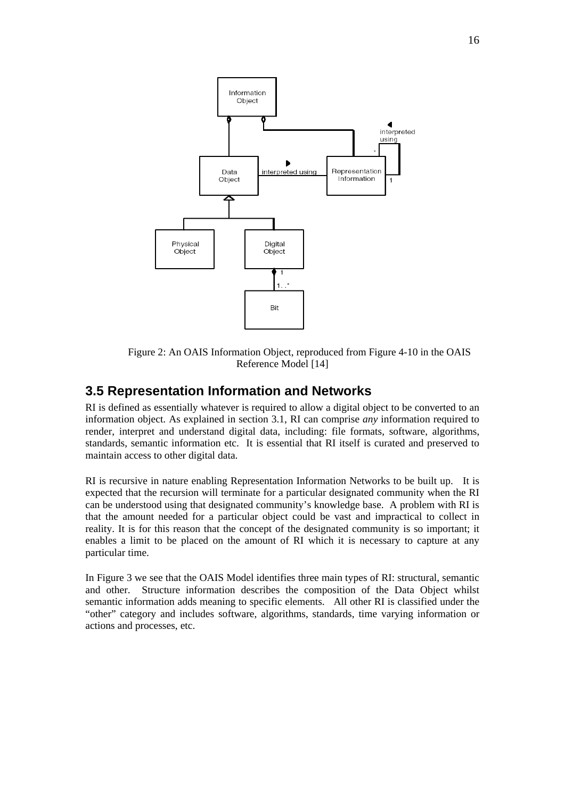<span id="page-15-0"></span>

 Figure 2: An OAIS Information Object, reproduced from Figure 4-10 in the OAIS Reference Model [[14\]](#page-28-6)

#### **3.5 Representation Information and Networks**

RI is defined as essentially whatever is required to allow a digital object to be converted to an information object. As explained in section 3.1, RI can comprise *any* information required to render, interpret and understand digital data, including: file formats, software, algorithms, standards, semantic information etc. It is essential that RI itself is curated and preserved to maintain access to other digital data.

RI is recursive in nature enabling Representation Information Networks to be built up. It is expected that the recursion will terminate for a particular designated community when the RI can be understood using that designated community's knowledge base. A problem with RI is that the amount needed for a particular object could be vast and impractical to collect in reality. It is for this reason that the concept of the designated community is so important; it enables a limit to be placed on the amount of RI which it is necessary to capture at any particular time.

In Figure 3 we see that the OAIS Model identifies three main types of RI: structural, semantic and other. Structure information describes the composition of the Data Object whilst semantic information adds meaning to specific elements. All other RI is classified under the "other" category and includes software, algorithms, standards, time varying information or actions and processes, etc.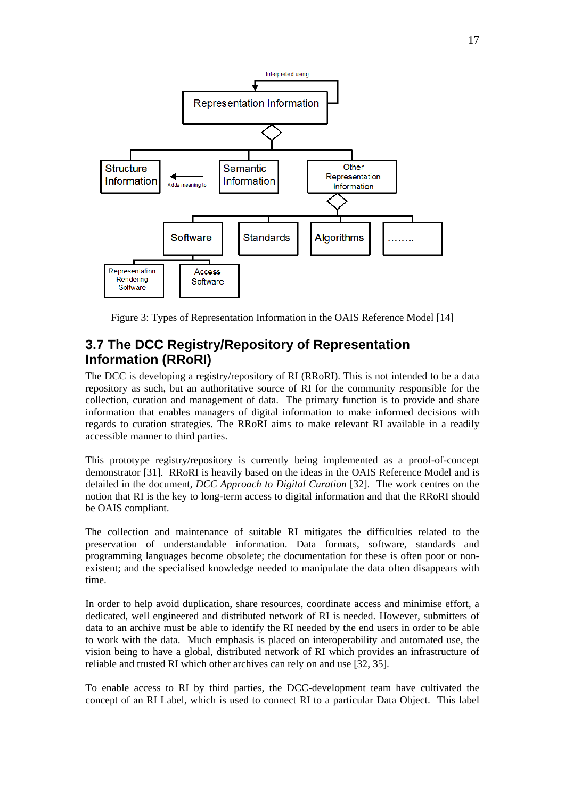<span id="page-16-0"></span>

Figure 3: Types of Representation Information in the OAIS Reference Model [[14\]](#page-28-6)

## **3.7 The DCC Registry/Repository of Representation Information (RRoRI)**

The DCC is developing a registry/repository of RI (RRoRI). This is not intended to be a data repository as such, but an authoritative source of RI for the community responsible for the collection, curation and management of data. The primary function is to provide and share information that enables managers of digital information to make informed decisions with regards to curation strategies. The RRoRI aims to make relevant RI available in a readily accessible manner to third parties.

This prototype registry/repository is currently being implemented as a proof-of-concept demonstrator [[31\]](#page-29-19). RRoRI is heavily based on the ideas in the OAIS Reference Model and is detailed in the document, *DCC Approach to Digital Curation* [\[32](#page-29-0)]. The work centres on the notion that RI is the key to long-term access to digital information and that the RRoRI should be OAIS compliant.

The collection and maintenance of suitable RI mitigates the difficulties related to the preservation of understandable information. Data formats, software, standards and programming languages become obsolete; the documentation for these is often poor or nonexistent; and the specialised knowledge needed to manipulate the data often disappears with time.

In order to help avoid duplication, share resources, coordinate access and minimise effort, a dedicated, well engineered and distributed network of RI is needed. However, submitters of data to an archive must be able to identify the RI needed by the end users in order to be able to work with the data. Much emphasis is placed on interoperability and automated use, the vision being to have a global, distributed network of RI which provides an infrastructure of reliable and trusted RI which other archives can rely on and use [\[32](#page-29-20), [35](#page-29-2)].

To enable access to RI by third parties, the DCC-development team have cultivated the concept of an RI Label, which is used to connect RI to a particular Data Object. This label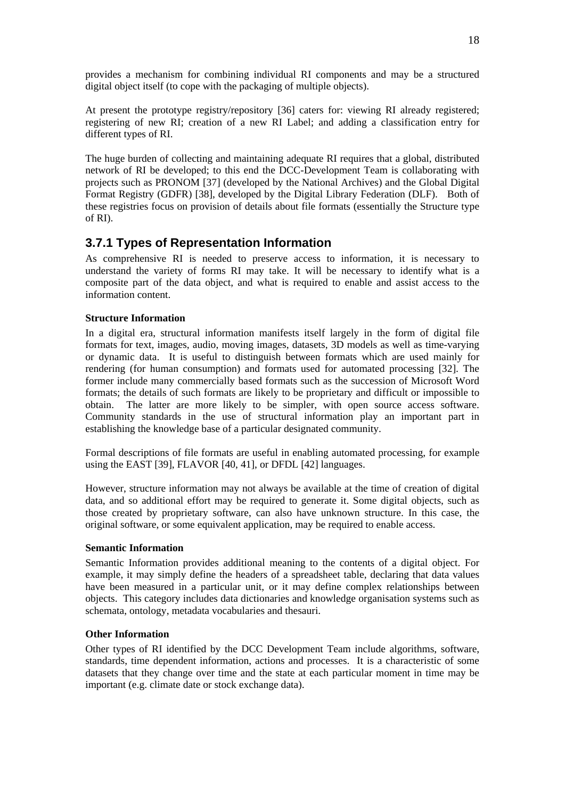<span id="page-17-0"></span>provides a mechanism for combining individual RI components and may be a structured digital object itself (to cope with the packaging of multiple objects).

At present the prototype registry/repository [\[36](#page-30-2)] caters for: viewing RI already registered; registering of new RI; creation of a new RI Label; and adding a classification entry for different types of RI.

The huge burden of collecting and maintaining adequate RI requires that a global, distributed network of RI be developed; to this end the DCC-Development Team is collaborating with projects such as PRONOM [[37\]](#page-30-3) (developed by the National Archives) and the Global Digital Format Registry (GDFR) [\[38](#page-30-4)], developed by the Digital Library Federation (DLF). Both of these registries focus on provision of details about file formats (essentially the Structure type of RI).

### **3.7.1 Types of Representation Information**

As comprehensive RI is needed to preserve access to information, it is necessary to understand the variety of forms RI may take. It will be necessary to identify what is a composite part of the data object, and what is required to enable and assist access to the information content.

#### **Structure Information**

In a digital era, structural information manifests itself largely in the form of digital file formats for text, images, audio, moving images, datasets, 3D models as well as time-varying or dynamic data. It is useful to distinguish between formats which are used mainly for rendering (for human consumption) and formats used for automated processing [\[32](#page-29-0)]. The former include many commercially based formats such as the succession of Microsoft Word formats; the details of such formats are likely to be proprietary and difficult or impossible to obtain. The latter are more likely to be simpler, with open source access software. Community standards in the use of structural information play an important part in establishing the knowledge base of a particular designated community.

Formal descriptions of file formats are useful in enabling automated processing, for example using the EAST [[39\]](#page-30-5), FLAVOR [\[40](#page-30-6), [41\]](#page-30-7), or DFDL [[42\]](#page-30-8) languages.

However, structure information may not always be available at the time of creation of digital data, and so additional effort may be required to generate it. Some digital objects, such as those created by proprietary software, can also have unknown structure. In this case, the original software, or some equivalent application, may be required to enable access.

#### **Semantic Information**

Semantic Information provides additional meaning to the contents of a digital object. For example, it may simply define the headers of a spreadsheet table, declaring that data values have been measured in a particular unit, or it may define complex relationships between objects. This category includes data dictionaries and knowledge organisation systems such as schemata, ontology, metadata vocabularies and thesauri.

#### **Other Information**

Other types of RI identified by the DCC Development Team include algorithms, software, standards, time dependent information, actions and processes. It is a characteristic of some datasets that they change over time and the state at each particular moment in time may be important (e.g. climate date or stock exchange data).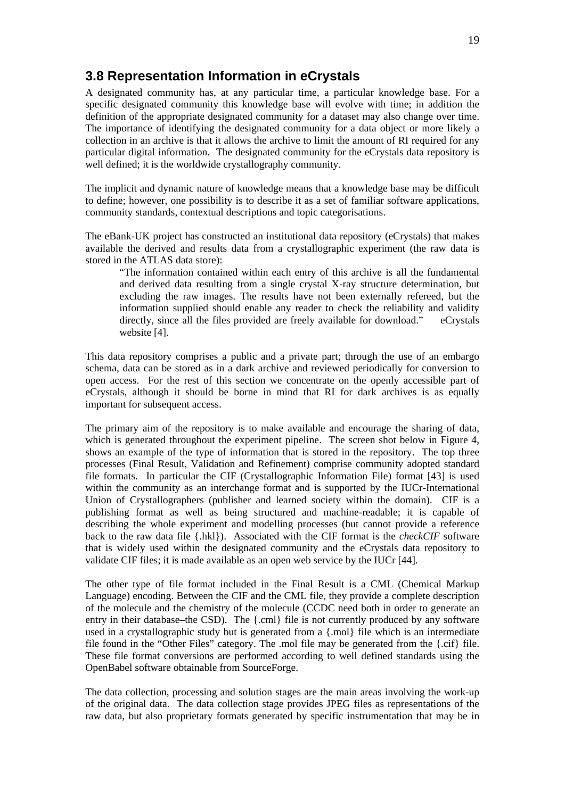### <span id="page-18-0"></span>**3.8 Representation Information in eCrystals**

A designated community has, at any particular time, a particular knowledge base. For a specific designated community this knowledge base will evolve with time; in addition the definition of the appropriate designated community for a dataset may also change over time. The importance of identifying the designated community for a data object or more likely a collection in an archive is that it allows the archive to limit the amount of RI required for any particular digital information. The designated community for the eCrystals data repository is well defined; it is the worldwide crystallography community.

The implicit and dynamic nature of knowledge means that a knowledge base may be difficult to define; however, one possibility is to describe it as a set of familiar software applications, community standards, contextual descriptions and topic categorisations.

The eBank-UK project has constructed an institutional data repository (eCrystals) that makes available the derived and results data from a crystallographic experiment (the raw data is stored in the ATLAS data store):

"The information contained within each entry of this archive is all the fundamental and derived data resulting from a single crystal X-ray structure determination, but excluding the raw images. The results have not been externally refereed, but the information supplied should enable any reader to check the reliability and validity directly, since all the files provided are freely available for download." eCrystals website [\[4](#page-28-4)].

This data repository comprises a public and a private part; through the use of an embargo schema, data can be stored as in a dark archive and reviewed periodically for conversion to open access. For the rest of this section we concentrate on the openly accessible part of eCrystals, although it should be borne in mind that RI for dark archives is as equally important for subsequent access.

The primary aim of the repository is to make available and encourage the sharing of data, which is generated throughout the experiment pipeline. The screen shot below in Figure 4, shows an example of the type of information that is stored in the repository. The top three processes (Final Result, Validation and Refinement) comprise community adopted standard file formats. In particular the CIF (Crystallographic Information File) format [\[43](#page-30-9)] is used within the community as an interchange format and is supported by the IUCr-International Union of Crystallographers (publisher and learned society within the domain). CIF is a publishing format as well as being structured and machine-readable; it is capable of describing the whole experiment and modelling processes (but cannot provide a reference back to the raw data file {.hkl}). Associated with the CIF format is the *checkCIF* software that is widely used within the designated community and the eCrystals data repository to validate CIF files; it is made available as an open web service by the IUCr [\[44](#page-30-10)].

The other type of file format included in the Final Result is a CML (Chemical Markup Language) encoding. Between the CIF and the CML file, they provide a complete description of the molecule and the chemistry of the molecule (CCDC need both in order to generate an entry in their database–the CSD). The {.cml} file is not currently produced by any software used in a crystallographic study but is generated from a {.mol} file which is an intermediate file found in the "Other Files" category. The .mol file may be generated from the {.cif} file. These file format conversions are performed according to well defined standards using the OpenBabel software obtainable from SourceForge.

The data collection, processing and solution stages are the main areas involving the work-up of the original data. The data collection stage provides JPEG files as representations of the raw data, but also proprietary formats generated by specific instrumentation that may be in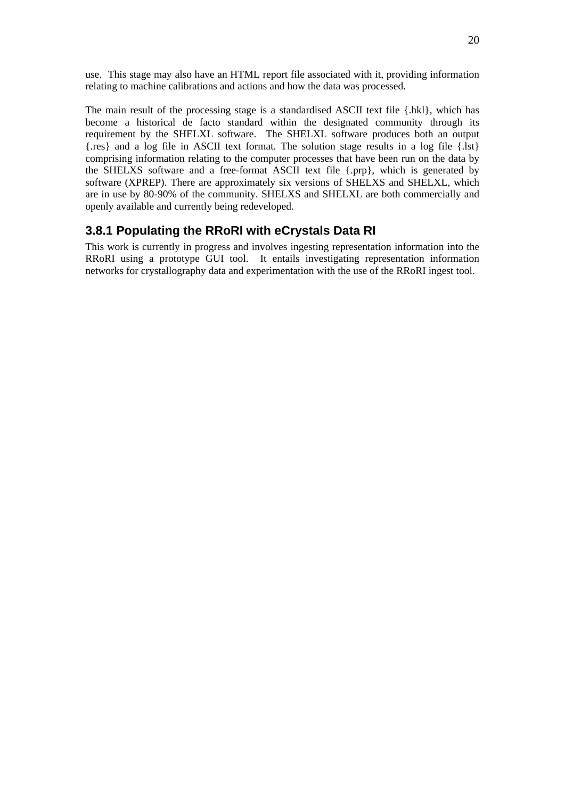<span id="page-19-0"></span>use. This stage may also have an HTML report file associated with it, providing information relating to machine calibrations and actions and how the data was processed.

The main result of the processing stage is a standardised ASCII text file {.hkl}, which has become a historical de facto standard within the designated community through its requirement by the SHELXL software. The SHELXL software produces both an output {.res} and a log file in ASCII text format. The solution stage results in a log file {.lst} comprising information relating to the computer processes that have been run on the data by the SHELXS software and a free-format ASCII text file {.prp}, which is generated by software (XPREP). There are approximately six versions of SHELXS and SHELXL, which are in use by 80-90% of the community. SHELXS and SHELXL are both commercially and openly available and currently being redeveloped.

#### **3.8.1 Populating the RRoRI with eCrystals Data RI**

This work is currently in progress and involves ingesting representation information into the RRoRI using a prototype GUI tool. It entails investigating representation information networks for crystallography data and experimentation with the use of the RRoRI ingest tool.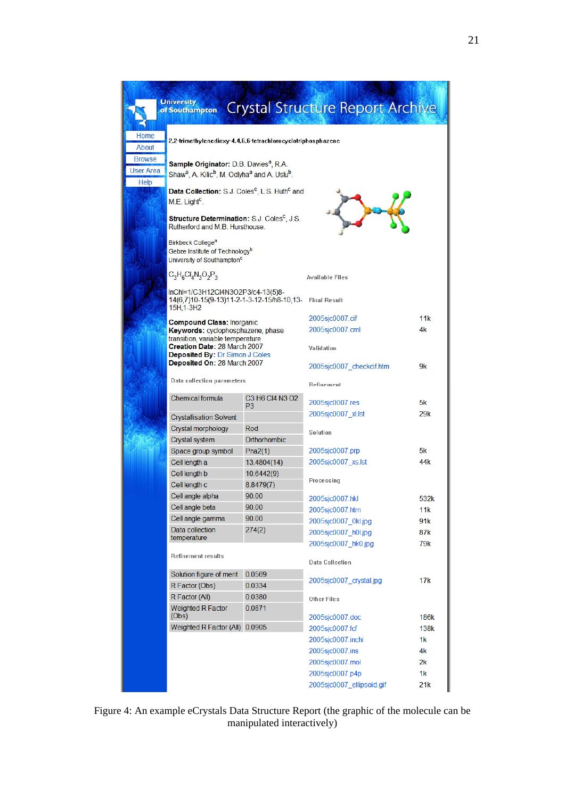|                                           | <b>University</b><br>of Southampton                                                                                                                 |                                   | <b>Crystal Structure Report Archive</b> |      |  |  |
|-------------------------------------------|-----------------------------------------------------------------------------------------------------------------------------------------------------|-----------------------------------|-----------------------------------------|------|--|--|
| Home<br>About                             | 2,2-trimethylenedioxy-4,4,6,6-tetrachlorocyclotriphosphazene                                                                                        |                                   |                                         |      |  |  |
| <b>Browse</b><br><b>User Area</b><br>Help | Sample Originator: D.B. Davies <sup>a</sup> , R.A.<br>Shaw <sup>a</sup> , A. Kilic <sup>b</sup> , M. Odlyha <sup>a</sup> and A. Uslu <sup>b</sup> . |                                   |                                         |      |  |  |
|                                           | Data Collection: S.J. Coles <sup>c</sup> , L.S. Huth <sup>c</sup> and<br>M.E. Light <sup>c</sup> .                                                  |                                   |                                         |      |  |  |
|                                           | Structure Determination: S.J. Coles <sup>c</sup> , J.S.<br>Rutherford and M.B. Hursthouse.                                                          |                                   |                                         |      |  |  |
|                                           | Birkbeck College <sup>a</sup><br>Gebze Institute of Technology <sup>b</sup><br>University of Southampton <sup>c</sup>                               |                                   |                                         |      |  |  |
|                                           | $C_3H_6Cl_4N_3O_2P_3$                                                                                                                               |                                   | <b>Available Files</b>                  |      |  |  |
|                                           | InChl=1/C3H12Cl4N3O2P3/c4-13(5)8-<br>14(6,7)10-15(9-13)11-2-1-3-12-15/h8-10,13-<br>15H <sub>.1</sub> -3H <sub>2</sub>                               |                                   | <b>Final Result</b>                     |      |  |  |
|                                           | <b>Compound Class: Inorganic</b>                                                                                                                    |                                   | 2005sjc0007.cif                         | 11k  |  |  |
|                                           | Keywords: cyclophosphazene, phase<br>transition, variable temperature                                                                               |                                   | 2005sic0007.cml                         | 4k   |  |  |
|                                           | Creation Date: 28 March 2007<br><b>Deposited By: Dr Simon J Coles</b>                                                                               |                                   | Validation                              |      |  |  |
|                                           | Deposited On: 28 March 2007                                                                                                                         |                                   | 2005sjc0007 checkcif.htm                | 9k   |  |  |
|                                           | Data collection parameters                                                                                                                          |                                   | Refinement                              |      |  |  |
|                                           | Chemical formula                                                                                                                                    | C3 H6 Cl4 N3 O2<br>P <sub>3</sub> | 2005sjc0007.res                         | 5k   |  |  |
|                                           | <b>Crystallisation Solvent</b>                                                                                                                      |                                   | 2005sjc0007 xl.lst                      | 29k  |  |  |
|                                           | Crystal morphology                                                                                                                                  | Rod                               | Solution                                |      |  |  |
|                                           | Crystal system                                                                                                                                      | Orthorhombic                      |                                         |      |  |  |
|                                           | Space group symbol                                                                                                                                  | Pna2(1)                           | 2005sjc0007.prp                         | 5k   |  |  |
|                                           | Cell length a                                                                                                                                       | 13.4804(14)                       | 2005sjc0007 xs.lst                      | 44k  |  |  |
|                                           | Cell length b                                                                                                                                       | 10.6442(9)                        | Processing                              |      |  |  |
|                                           | Cell length c                                                                                                                                       | 8.8479(7)                         |                                         |      |  |  |
|                                           | Cell angle alpha                                                                                                                                    | 90.00                             | 2005sjc0007.hkl                         | 532k |  |  |
|                                           | Cell angle beta                                                                                                                                     | 90.00                             | 2005sjc0007.htm                         | 11k  |  |  |
|                                           | Cell angle gamma                                                                                                                                    | 90.00                             | 2005sjc0007 0kl.jpg                     | 91k  |  |  |
|                                           | Data collection<br>temperature                                                                                                                      | 274(2)                            | 2005sjc0007_h0l.jpg                     | 87k  |  |  |
|                                           | Refinement results                                                                                                                                  |                                   | 2005sjc0007_hk0.jpg                     | 79k  |  |  |
|                                           |                                                                                                                                                     |                                   | Data Collection                         |      |  |  |
|                                           | Solution figure of merit                                                                                                                            | 0.0569                            | 2005sjc0007 crystal.jpg                 | 17k  |  |  |
|                                           | R Factor (Obs)                                                                                                                                      | 0.0334                            |                                         |      |  |  |
|                                           | R Factor (All)<br><b>Weighted R Factor</b>                                                                                                          | 0.0380<br>0.0871                  | Other Files                             |      |  |  |
|                                           | (Obs)                                                                                                                                               |                                   | 2005sjc0007.doc                         | 186k |  |  |
|                                           | Weighted R Factor (All) 0.0905                                                                                                                      |                                   | 2005sjc0007.fcf                         | 138k |  |  |
|                                           |                                                                                                                                                     |                                   | 2005sjc0007.inchi                       | 1k   |  |  |
|                                           |                                                                                                                                                     |                                   | 2005sjc0007.ins                         | 4k   |  |  |
|                                           |                                                                                                                                                     |                                   | 2005sjc0007.mol                         | 2k   |  |  |
|                                           |                                                                                                                                                     |                                   | 2005sjc0007.p4p                         | 1k   |  |  |
|                                           |                                                                                                                                                     |                                   | 2005sjc0007 ellipsoid.gif               | 21k  |  |  |

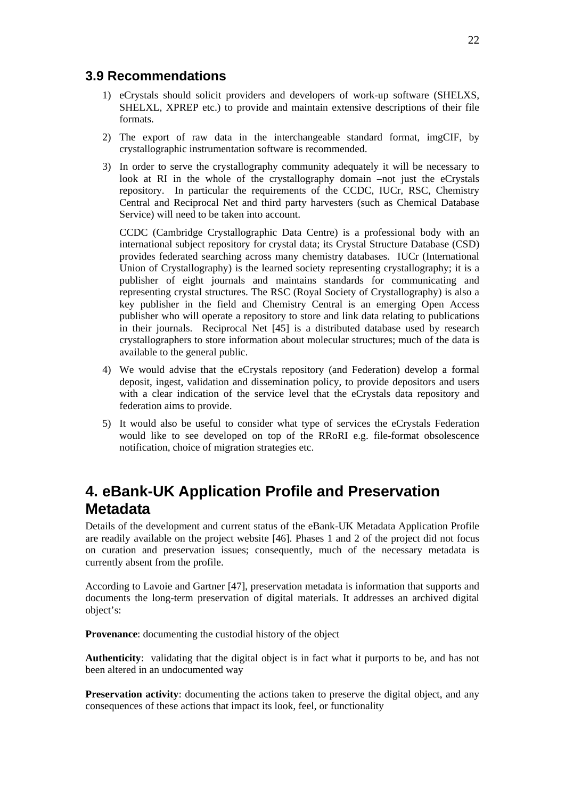### <span id="page-21-0"></span>**3.9 Recommendations**

- 1) eCrystals should solicit providers and developers of work-up software (SHELXS, SHELXL, XPREP etc.) to provide and maintain extensive descriptions of their file formats.
- 2) The export of raw data in the interchangeable standard format, imgCIF, by crystallographic instrumentation software is recommended.
- 3) In order to serve the crystallography community adequately it will be necessary to look at RI in the whole of the crystallography domain –not just the eCrystals repository. In particular the requirements of the CCDC, IUCr, RSC, Chemistry Central and Reciprocal Net and third party harvesters (such as Chemical Database Service) will need to be taken into account.

CCDC (Cambridge Crystallographic Data Centre) is a professional body with an international subject repository for crystal data; its Crystal Structure Database (CSD) provides federated searching across many chemistry databases. IUCr (International Union of Crystallography) is the learned society representing crystallography; it is a publisher of eight journals and maintains standards for communicating and representing crystal structures. The RSC (Royal Society of Crystallography) is also a key publisher in the field and Chemistry Central is an emerging Open Access publisher who will operate a repository to store and link data relating to publications in their journals. Reciprocal Net [\[45](#page-30-11)] is a distributed database used by research crystallographers to store information about molecular structures; much of the data is available to the general public.

- 4) We would advise that the eCrystals repository (and Federation) develop a formal deposit, ingest, validation and dissemination policy, to provide depositors and users with a clear indication of the service level that the eCrystals data repository and federation aims to provide.
- 5) It would also be useful to consider what type of services the eCrystals Federation would like to see developed on top of the RRoRI e.g. file-format obsolescence notification, choice of migration strategies etc.

## **4. eBank-UK Application Profile and Preservation Metadata**

Details of the development and current status of the eBank-UK Metadata Application Profile are readily available on the project website [[46\]](#page-30-1). Phases 1 and 2 of the project did not focus on curation and preservation issues; consequently, much of the necessary metadata is currently absent from the profile.

According to Lavoie and Gartner [[47\]](#page-30-12), preservation metadata is information that supports and documents the long-term preservation of digital materials. It addresses an archived digital object's:

**Provenance**: documenting the custodial history of the object

**Authenticity**: validating that the digital object is in fact what it purports to be, and has not been altered in an undocumented way

**Preservation activity:** documenting the actions taken to preserve the digital object, and any consequences of these actions that impact its look, feel, or functionality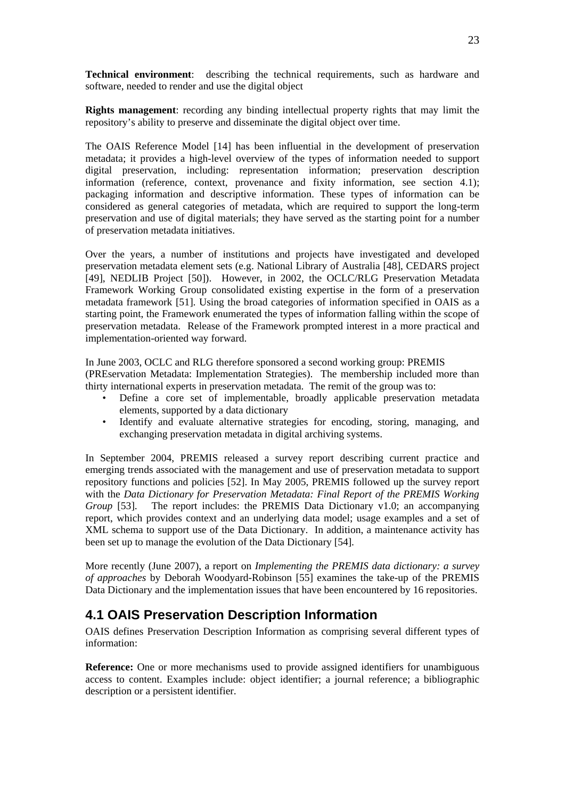<span id="page-22-0"></span>**Technical environment**: describing the technical requirements, such as hardware and software, needed to render and use the digital object

**Rights management**: recording any binding intellectual property rights that may limit the repository's ability to preserve and disseminate the digital object over time.

The OAIS Reference Model [\[14](#page-28-6)] has been influential in the development of preservation metadata; it provides a high-level overview of the types of information needed to support digital preservation, including: representation information; preservation description information (reference, context, provenance and fixity information, see section 4.1); packaging information and descriptive information. These types of information can be considered as general categories of metadata, which are required to support the long-term preservation and use of digital materials; they have served as the starting point for a number of preservation metadata initiatives.

Over the years, a number of institutions and projects have investigated and developed preservation metadata element sets (e.g. National Library of Australia [[48\]](#page-30-13), CEDARS project [[49\]](#page-30-14), NEDLIB Project [\[50](#page-30-15)]). However, in 2002, the OCLC/RLG Preservation Metadata Framework Working Group consolidated existing expertise in the form of a preservation metadata framework [[51\]](#page-30-16). Using the broad categories of information specified in OAIS as a starting point, the Framework enumerated the types of information falling within the scope of preservation metadata. Release of the Framework prompted interest in a more practical and implementation-oriented way forward.

In June 2003, OCLC and RLG therefore sponsored a second working group: PREMIS (PREservation Metadata: Implementation Strategies). The membership included more than thirty international experts in preservation metadata. The remit of the group was to:

- Define a core set of implementable, broadly applicable preservation metadata elements, supported by a data dictionary
- Identify and evaluate alternative strategies for encoding, storing, managing, and exchanging preservation metadata in digital archiving systems.

In September 2004, PREMIS released a survey report describing current practice and emerging trends associated with the management and use of preservation metadata to support repository functions and policies [\[52](#page-30-17)]. In May 2005, PREMIS followed up the survey report with the *Data Dictionary for Preservation Metadata: Final Report of the PREMIS Working Group* [\[53](#page-30-0)]. The report includes: the PREMIS Data Dictionary v1.0; an accompanying report, which provides context and an underlying data model; usage examples and a set of XML schema to support use of the Data Dictionary. In addition, a maintenance activity has been set up to manage the evolution of the Data Dictionary [\[54](#page-30-18)].

More recently (June 2007), a report on *Implementing the PREMIS data dictionary: a survey of approaches* by Deborah Woodyard-Robinson [\[55\]](#page-30-19) examines the take-up of the PREMIS Data Dictionary and the implementation issues that have been encountered by 16 repositories.

### **4.1 OAIS Preservation Description Information**

OAIS defines Preservation Description Information as comprising several different types of information:

**Reference:** One or more mechanisms used to provide assigned identifiers for unambiguous access to content. Examples include: object identifier; a journal reference; a bibliographic description or a persistent identifier.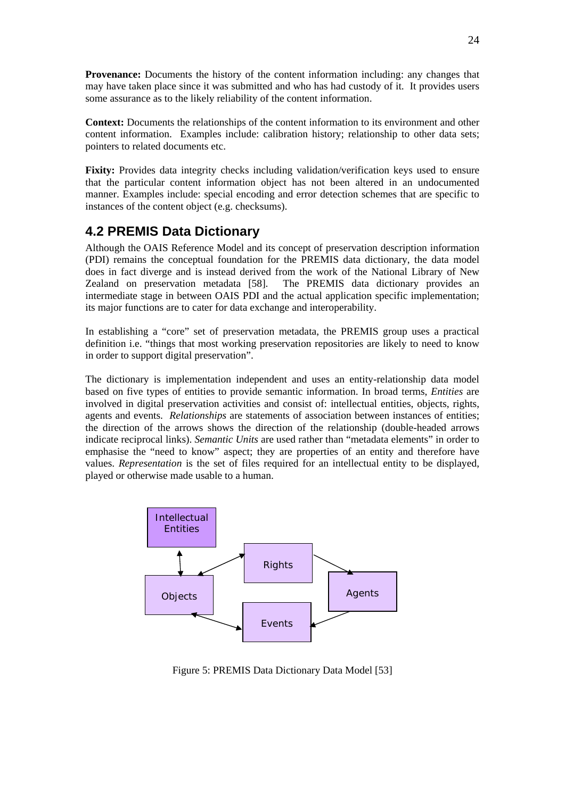<span id="page-23-0"></span>**Provenance:** Documents the history of the content information including: any changes that may have taken place since it was submitted and who has had custody of it. It provides users some assurance as to the likely reliability of the content information.

**Context:** Documents the relationships of the content information to its environment and other content information. Examples include: calibration history; relationship to other data sets; pointers to related documents etc.

**Fixity:** Provides data integrity checks including validation/verification keys used to ensure that the particular content information object has not been altered in an undocumented manner. Examples include: special encoding and error detection schemes that are specific to instances of the content object (e.g. checksums).

### **4.2 PREMIS Data Dictionary**

Although the OAIS Reference Model and its concept of preservation description information (PDI) remains the conceptual foundation for the PREMIS data dictionary, the data model does in fact diverge and is instead derived from the work of the National Library of New Zealand on preservation metadata [\[58](#page-30-20)]. The PREMIS data dictionary provides an intermediate stage in between OAIS PDI and the actual application specific implementation; its major functions are to cater for data exchange and interoperability.

In establishing a "core" set of preservation metadata, the PREMIS group uses a practical definition i.e. "things that most working preservation repositories are likely to need to know in order to support digital preservation".

The dictionary is implementation independent and uses an entity-relationship data model based on five types of entities to provide semantic information. In broad terms, *Entities* are involved in digital preservation activities and consist of: intellectual entities, objects, rights, agents and events. *Relationships* are statements of association between instances of entities; the direction of the arrows shows the direction of the relationship (double-headed arrows indicate reciprocal links). *Semantic Units* are used rather than "metadata elements" in order to emphasise the "need to know" aspect; they are properties of an entity and therefore have values. *Representation* is the set of files required for an intellectual entity to be displayed, played or otherwise made usable to a human.



Figure 5: PREMIS Data Dictionary Data Model [[53\]](#page-30-0)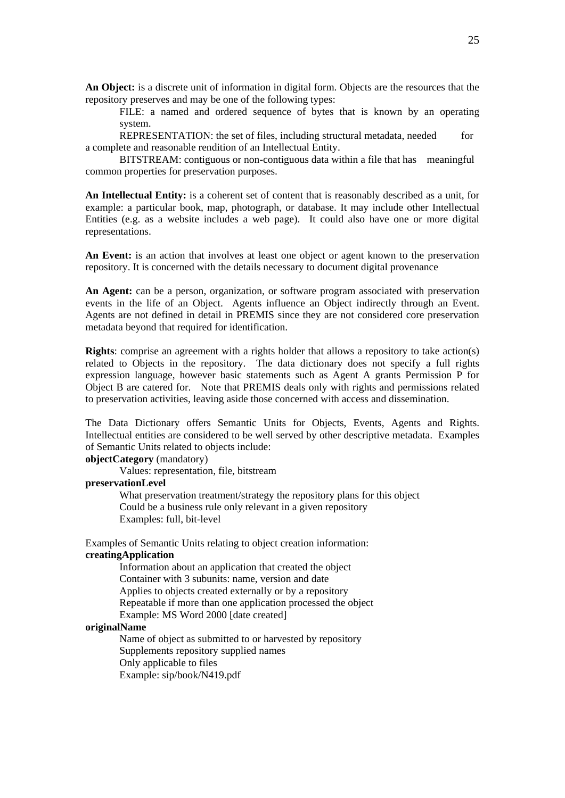**An Object:** is a discrete unit of information in digital form. Objects are the resources that the repository preserves and may be one of the following types:

 FILE: a named and ordered sequence of bytes that is known by an operating system.

 REPRESENTATION: the set of files, including structural metadata, needed for a complete and reasonable rendition of an Intellectual Entity.

 BITSTREAM: contiguous or non-contiguous data within a file that has meaningful common properties for preservation purposes.

**An Intellectual Entity:** is a coherent set of content that is reasonably described as a unit, for example: a particular book, map, photograph, or database. It may include other Intellectual Entities (e.g. as a website includes a web page). It could also have one or more digital representations.

An Event: is an action that involves at least one object or agent known to the preservation repository. It is concerned with the details necessary to document digital provenance

An Agent: can be a person, organization, or software program associated with preservation events in the life of an Object. Agents influence an Object indirectly through an Event. Agents are not defined in detail in PREMIS since they are not considered core preservation metadata beyond that required for identification.

**Rights**: comprise an agreement with a rights holder that allows a repository to take action(s) related to Objects in the repository. The data dictionary does not specify a full rights expression language, however basic statements such as Agent A grants Permission P for Object B are catered for. Note that PREMIS deals only with rights and permissions related to preservation activities, leaving aside those concerned with access and dissemination.

The Data Dictionary offers Semantic Units for Objects, Events, Agents and Rights. Intellectual entities are considered to be well served by other descriptive metadata. Examples of Semantic Units related to objects include:

#### **objectCategory** (mandatory)

Values: representation, file, bitstream

#### **preservationLevel**

 What preservation treatment/strategy the repository plans for this object Could be a business rule only relevant in a given repository Examples: full, bit-level

Examples of Semantic Units relating to object creation information: **creatingApplication** 

> Information about an application that created the object Container with 3 subunits: name, version and date Applies to objects created externally or by a repository Repeatable if more than one application processed the object Example: MS Word 2000 [date created]

#### **originalName**

 Name of object as submitted to or harvested by repository Supplements repository supplied names Only applicable to files Example: sip/book/N419.pdf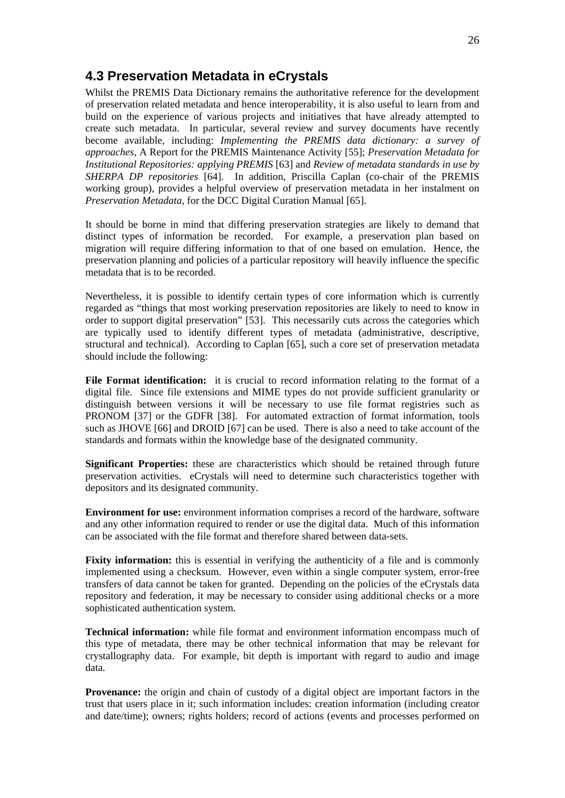### <span id="page-25-0"></span>**4.3 Preservation Metadata in eCrystals**

Whilst the PREMIS Data Dictionary remains the authoritative reference for the development of preservation related metadata and hence interoperability, it is also useful to learn from and build on the experience of various projects and initiatives that have already attempted to create such metadata. In particular, several review and survey documents have recently become available, including: *Implementing the PREMIS data dictionary: a survey of approaches,* A Report for the PREMIS Maintenance Activity [\[55](#page-30-19)]; *Preservation Metadata for Institutional Repositories: applying PREMIS* [\[63](#page-31-0)] and *Review of metadata standards in use by SHERPA DP repositories* [[64\]](#page-31-1). In addition, Priscilla Caplan (co-chair of the PREMIS working group), provides a helpful overview of preservation metadata in her instalment on *Preservation Metadata,* for the DCC Digital Curation Manual [[65\]](#page-31-2).

It should be borne in mind that differing preservation strategies are likely to demand that distinct types of information be recorded. For example, a preservation plan based on migration will require differing information to that of one based on emulation. Hence, the preservation planning and policies of a particular repository will heavily influence the specific metadata that is to be recorded.

Nevertheless, it is possible to identify certain types of core information which is currently regarded as "things that most working preservation repositories are likely to need to know in order to support digital preservation" [\[53\]](#page-30-0). This necessarily cuts across the categories which are typically used to identify different types of metadata (administrative, descriptive, structural and technical). According to Caplan [\[65\]](#page-31-2), such a core set of preservation metadata should include the following:

**File Format identification:** it is crucial to record information relating to the format of a digital file. Since file extensions and MIME types do not provide sufficient granularity or distinguish between versions it will be necessary to use file format registries such as PRONOM [\[37](#page-30-3)] or the GDFR [\[38](#page-30-4)]. For automated extraction of format information, tools such as JHOVE [\[66](#page-31-3)] and DROID [\[67](#page-31-4)] can be used. There is also a need to take account of the standards and formats within the knowledge base of the designated community.

**Significant Properties:** these are characteristics which should be retained through future preservation activities. eCrystals will need to determine such characteristics together with depositors and its designated community.

**Environment for use:** environment information comprises a record of the hardware, software and any other information required to render or use the digital data. Much of this information can be associated with the file format and therefore shared between data-sets.

**Fixity information:** this is essential in verifying the authenticity of a file and is commonly implemented using a checksum. However, even within a single computer system, error-free transfers of data cannot be taken for granted. Depending on the policies of the eCrystals data repository and federation, it may be necessary to consider using additional checks or a more sophisticated authentication system.

**Technical information:** while file format and environment information encompass much of this type of metadata, there may be other technical information that may be relevant for crystallography data. For example, bit depth is important with regard to audio and image data.

**Provenance:** the origin and chain of custody of a digital object are important factors in the trust that users place in it; such information includes: creation information (including creator and date/time); owners; rights holders; record of actions (events and processes performed on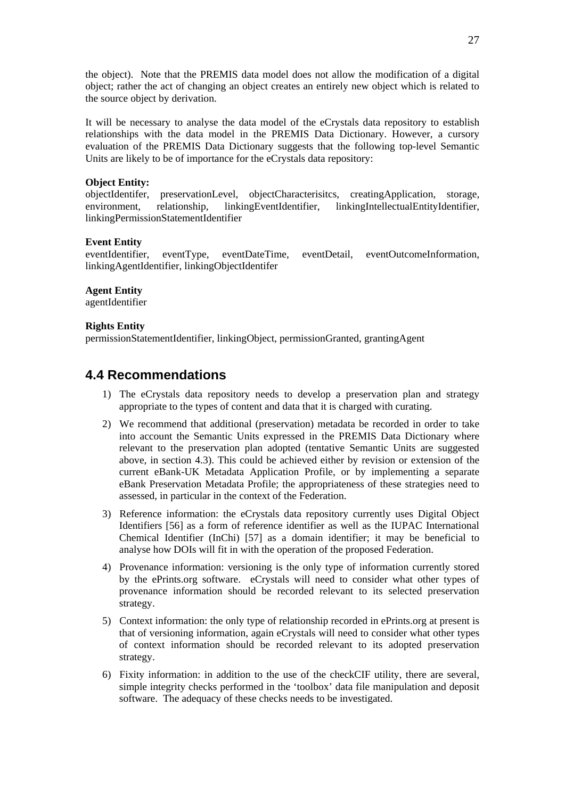<span id="page-26-0"></span>the object). Note that the PREMIS data model does not allow the modification of a digital object; rather the act of changing an object creates an entirely new object which is related to the source object by derivation.

It will be necessary to analyse the data model of the eCrystals data repository to establish relationships with the data model in the PREMIS Data Dictionary. However, a cursory evaluation of the PREMIS Data Dictionary suggests that the following top-level Semantic Units are likely to be of importance for the eCrystals data repository:

#### **Object Entity:**

objectIdentifer, preservationLevel, objectCharacterisitcs, creatingApplication, storage, environment, relationship, linkingEventIdentifier, linkingIntellectualEntityIdentifier, linkingPermissionStatementIdentifier

#### **Event Entity**

eventIdentifier, eventType, eventDateTime, eventDetail, eventOutcomeInformation, linkingAgentIdentifier, linkingObjectIdentifer

#### **Agent Entity**

agentIdentifier

#### **Rights Entity**

permissionStatementIdentifier, linkingObject, permissionGranted, grantingAgent

### **4.4 Recommendations**

- 1) The eCrystals data repository needs to develop a preservation plan and strategy appropriate to the types of content and data that it is charged with curating.
- 2) We recommend that additional (preservation) metadata be recorded in order to take into account the Semantic Units expressed in the PREMIS Data Dictionary where relevant to the preservation plan adopted (tentative Semantic Units are suggested above, in section 4.3). This could be achieved either by revision or extension of the current eBank-UK Metadata Application Profile, or by implementing a separate eBank Preservation Metadata Profile; the appropriateness of these strategies need to assessed, in particular in the context of the Federation.
- 3) Reference information: the eCrystals data repository currently uses Digital Object Identifiers [\[56\]](#page-30-21) as a form of reference identifier as well as the IUPAC International Chemical Identifier (InChi) [[57\]](#page-30-22) as a domain identifier; it may be beneficial to analyse how DOIs will fit in with the operation of the proposed Federation.
- 4) Provenance information: versioning is the only type of information currently stored by the ePrints.org software. eCrystals will need to consider what other types of provenance information should be recorded relevant to its selected preservation strategy.
- 5) Context information: the only type of relationship recorded in ePrints.org at present is that of versioning information, again eCrystals will need to consider what other types of context information should be recorded relevant to its adopted preservation strategy.
- 6) Fixity information: in addition to the use of the checkCIF utility, there are several, simple integrity checks performed in the 'toolbox' data file manipulation and deposit software. The adequacy of these checks needs to be investigated.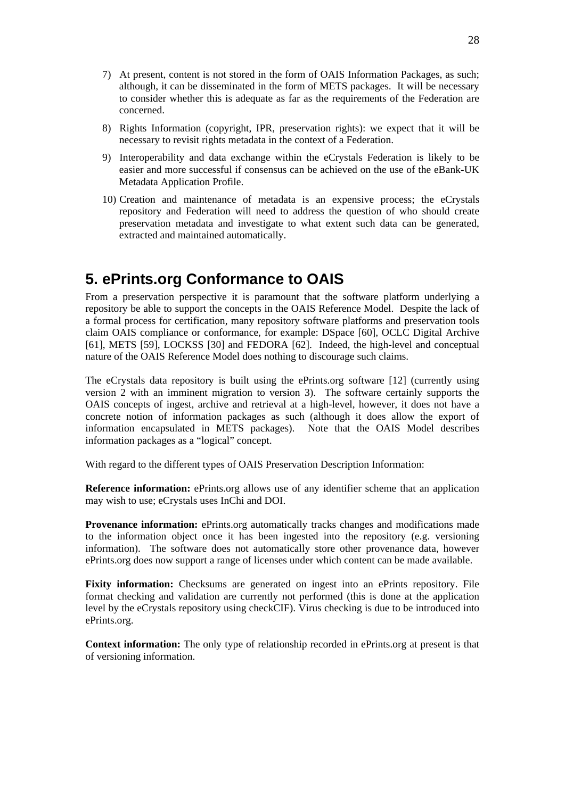- <span id="page-27-0"></span>7) At present, content is not stored in the form of OAIS Information Packages, as such; although, it can be disseminated in the form of METS packages. It will be necessary to consider whether this is adequate as far as the requirements of the Federation are concerned.
- 8) Rights Information (copyright, IPR, preservation rights): we expect that it will be necessary to revisit rights metadata in the context of a Federation.
- 9) Interoperability and data exchange within the eCrystals Federation is likely to be easier and more successful if consensus can be achieved on the use of the eBank-UK Metadata Application Profile.
- 10) Creation and maintenance of metadata is an expensive process; the eCrystals repository and Federation will need to address the question of who should create preservation metadata and investigate to what extent such data can be generated, extracted and maintained automatically.

## **5. ePrints.org Conformance to OAIS**

From a preservation perspective it is paramount that the software platform underlying a repository be able to support the concepts in the OAIS Reference Model. Despite the lack of a formal process for certification, many repository software platforms and preservation tools claim OAIS compliance or conformance, for example: DSpace [\[60](#page-30-23)], OCLC Digital Archive [[61\]](#page-30-24), METS [\[59](#page-30-25)], LOCKSS [\[30](#page-29-18)] and FEDORA [\[62](#page-30-26)]. Indeed, the high-level and conceptual nature of the OAIS Reference Model does nothing to discourage such claims.

The eCrystals data repository is built using the ePrints.org software [[12\]](#page-28-13) (currently using version 2 with an imminent migration to version 3). The software certainly supports the OAIS concepts of ingest, archive and retrieval at a high-level, however, it does not have a concrete notion of information packages as such (although it does allow the export of information encapsulated in METS packages). Note that the OAIS Model describes information packages as a "logical" concept.

With regard to the different types of OAIS Preservation Description Information:

**Reference information:** ePrints.org allows use of any identifier scheme that an application may wish to use; eCrystals uses InChi and DOI.

Provenance information: ePrints.org automatically tracks changes and modifications made to the information object once it has been ingested into the repository (e.g. versioning information). The software does not automatically store other provenance data, however ePrints.org does now support a range of licenses under which content can be made available.

Fixity information: Checksums are generated on ingest into an ePrints repository. File format checking and validation are currently not performed (this is done at the application level by the eCrystals repository using checkCIF). Virus checking is due to be introduced into ePrints.org.

**Context information:** The only type of relationship recorded in ePrints.org at present is that of versioning information.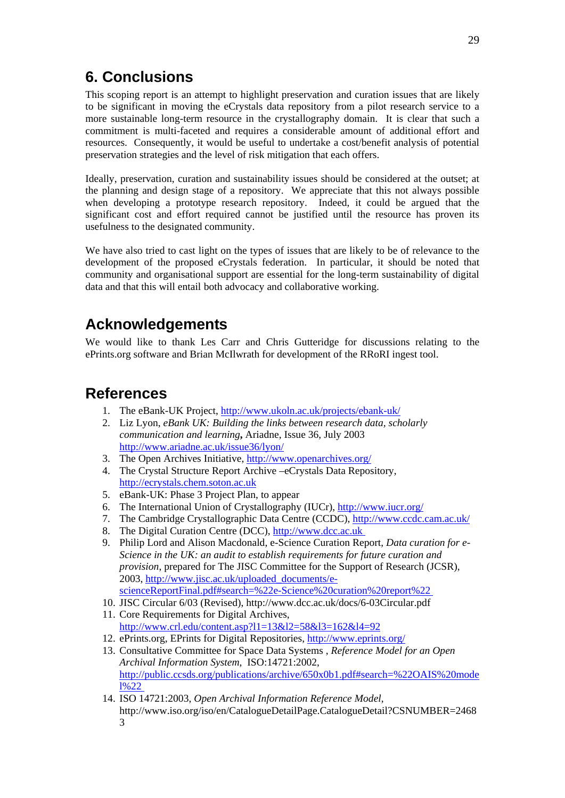## <span id="page-28-0"></span>**6. Conclusions**

This scoping report is an attempt to highlight preservation and curation issues that are likely to be significant in moving the eCrystals data repository from a pilot research service to a more sustainable long-term resource in the crystallography domain. It is clear that such a commitment is multi-faceted and requires a considerable amount of additional effort and resources. Consequently, it would be useful to undertake a cost/benefit analysis of potential preservation strategies and the level of risk mitigation that each offers.

Ideally, preservation, curation and sustainability issues should be considered at the outset; at the planning and design stage of a repository. We appreciate that this not always possible when developing a prototype research repository. Indeed, it could be argued that the significant cost and effort required cannot be justified until the resource has proven its usefulness to the designated community.

We have also tried to cast light on the types of issues that are likely to be of relevance to the development of the proposed eCrystals federation. In particular, it should be noted that community and organisational support are essential for the long-term sustainability of digital data and that this will entail both advocacy and collaborative working.

## **Acknowledgements**

We would like to thank Les Carr and Chris Gutteridge for discussions relating to the ePrints.org software and Brian McIlwrath for development of the RRoRI ingest tool.

## <span id="page-28-2"></span><span id="page-28-1"></span>**References**

- 1. The eBank-UK Project, <http://www.ukoln.ac.uk/projects/ebank-uk/>
- 2. Liz Lyon, *eBank UK: Building the links between research data, scholarly communication and learning***,** Ariadne, Issue 36, July 2003 <http://www.ariadne.ac.uk/issue36/lyon/>
- <span id="page-28-3"></span>3. The Open Archives Initiative,<http://www.openarchives.org/>
- <span id="page-28-4"></span>4. The Crystal Structure Report Archive –eCrystals Data Repository, [http://ecrystals.chem.soton.ac.uk](http://ecrystals.chem.soton.ac.uk/)
- <span id="page-28-5"></span>5. eBank-UK: Phase 3 Project Plan, to appear
- <span id="page-28-7"></span>6. The International Union of Crystallography (IUCr),<http://www.iucr.org/>
- <span id="page-28-8"></span>7. The Cambridge Crystallographic Data Centre (CCDC), <http://www.ccdc.cam.ac.uk/>
- <span id="page-28-9"></span>8. The Digital Curation Centre (DCC), [http://www.dcc.ac.uk](http://www.dcc.ac.uk/)
- <span id="page-28-10"></span>9. Philip Lord and Alison Macdonald, e-Science Curation Report, *Data curation for e-Science in the UK: an audit to establish requirements for future curation and provision*, prepared for The JISC Committee for the Support of Research (JCSR), 2003, [http://www.jisc.ac.uk/uploaded\\_documents/e](http://www.jisc.ac.uk/uploaded_documents/e-scienceReportFinal.pdf#search=%22e-Science%20curation%20report%22 )[scienceReportFinal.pdf#search=%22e-Science%20curation%20report%22](http://www.jisc.ac.uk/uploaded_documents/e-scienceReportFinal.pdf#search=%22e-Science%20curation%20report%22 )
- <span id="page-28-11"></span>10. JISC Circular 6/03 (Revised), http://www.dcc.ac.uk/docs/6-03Circular.pdf
- <span id="page-28-12"></span>11. Core Requirements for Digital Archives, <http://www.crl.edu/content.asp?l1=13&l2=58&l3=162&l4=92>
- <span id="page-28-13"></span>12. ePrints.org, EPrints for Digital Repositories, <http://www.eprints.org/>
- <span id="page-28-14"></span>13. Consultative Committee for Space Data Systems , *Reference Model for an Open Archival Information System*, ISO:14721:2002, [http://public.ccsds.org/publications/archive/650x0b1.pdf#search=%22OAIS%20mode](http://public.ccsds.org/publications/archive/650x0b1.pdf#search=%22OAIS%20model%22) [l%22](http://public.ccsds.org/publications/archive/650x0b1.pdf#search=%22OAIS%20model%22)
- <span id="page-28-6"></span>14. ISO 14721:2003, *Open Archival Information Reference Model*, http://www.iso.org/iso/en/CatalogueDetailPage.CatalogueDetail?CSNUMBER=2468 3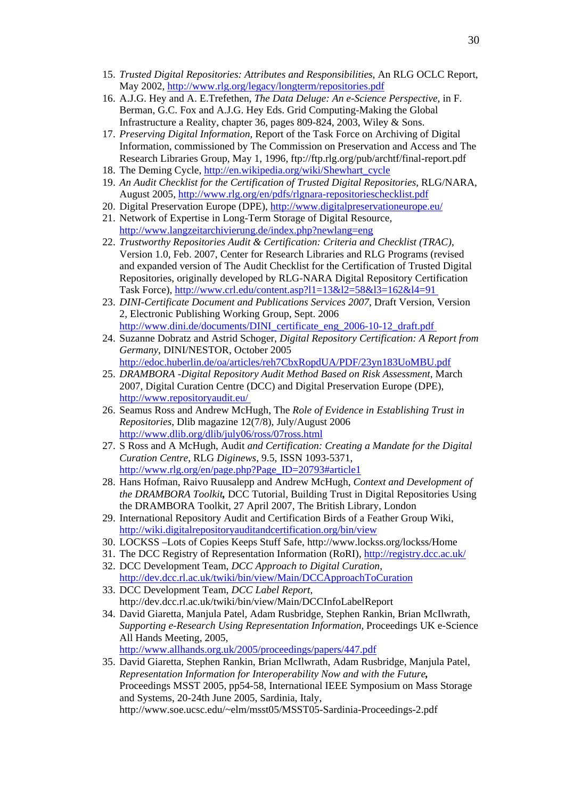- <span id="page-29-3"></span>15. *Trusted Digital Repositories: Attributes and Responsibilities*, An RLG OCLC Report, May 2002,<http://www.rlg.org/legacy/longterm/repositories.pdf>
- <span id="page-29-4"></span>16. A.J.G. Hey and A. E.Trefethen, *The Data Deluge: An e-Science Perspective,* in F. Berman, G.C. Fox and A.J.G. Hey Eds. Grid Computing-Making the Global Infrastructure a Reality, chapter 36, pages 809-824, 2003, Wiley & Sons.
- <span id="page-29-5"></span>17. *Preserving Digital Information,* Report of the Task Force on Archiving of Digital Information, commissioned by The Commission on Preservation and Access and The Research Libraries Group, May 1, 1996, ftp://ftp.rlg.org/pub/archtf/final-report.pdf
- <span id="page-29-6"></span>18. The Deming Cycle, [http://en.wikipedia.org/wiki/Shewhart\\_cycle](http://en.wikipedia.org/wiki/Shewhart_cycle)
- <span id="page-29-7"></span>19. *An Audit Checklist for the Certification of Trusted Digital Repositories*, RLG/NARA, August 2005,<http://www.rlg.org/en/pdfs/rlgnara-repositorieschecklist.pdf>
- <span id="page-29-8"></span>20. Digital Preservation Europe (DPE),<http://www.digitalpreservationeurope.eu/>
- <span id="page-29-9"></span>21. Network of Expertise in Long-Term Storage of Digital Resource, <http://www.langzeitarchivierung.de/index.php?newlang=eng>
- <span id="page-29-10"></span>22. *Trustworthy Repositories Audit & Certification: Criteria and Checklist (TRAC)*, Version 1.0, Feb. 2007, Center for Research Libraries and RLG Programs (revised and expanded version of The Audit Checklist for the Certification of Trusted Digital Repositories, originally developed by RLG-NARA Digital Repository Certification Task Force),<http://www.crl.edu/content.asp?l1=13&l2=58&l3=162&l4=91>
- <span id="page-29-11"></span>23. *DINI-Certificate Document and Publications Services 2007*, Draft Version, Version 2, Electronic Publishing Working Group, Sept. 2006 [http://www.dini.de/documents/DINI\\_certificate\\_eng\\_2006-10-12\\_draft.pdf](http://www.dini.de/documents/DINI_certificate_eng_2006-10-12_draft.pdf)
- <span id="page-29-12"></span>24. Suzanne Dobratz and Astrid Schoger, *Digital Repository Certification: A Report from Germany*, DINI/NESTOR, October 2005 <http://edoc.huberlin.de/oa/articles/reh7CbxRopdUA/PDF/23yn183UoMBU.pdf>
- <span id="page-29-13"></span>25. *DRAMBORA -Digital Repository Audit Method Based on Risk Assessment*, March 2007, Digital Curation Centre (DCC) and Digital Preservation Europe (DPE), <http://www.repositoryaudit.eu/>
- <span id="page-29-14"></span>26. Seamus Ross and Andrew McHugh, The *Role of Evidence in Establishing Trust in Repositories*, Dlib magazine 12(7/8), July/August 2006 <http://www.dlib.org/dlib/july06/ross/07ross.html>
- <span id="page-29-15"></span>27. S Ross and A McHugh, Audit *and Certification: Creating a Mandate for the Digital Curation Centre*, RLG *Diginews*, 9.5, ISSN 1093-5371, [http://www.rlg.org/en/page.php?Page\\_ID=20793#article1](http://www.rlg.org/en/page.php?Page_ID=20793#article1)
- <span id="page-29-16"></span>28. Hans Hofman, Raivo Ruusalepp and Andrew McHugh, *Context and Development of the DRAMBORA Toolkit,* DCC Tutorial, Building Trust in Digital Repositories Using the DRAMBORA Toolkit, 27 April 2007, The British Library, London
- <span id="page-29-17"></span>29. International Repository Audit and Certification Birds of a Feather Group Wiki, <http://wiki.digitalrepositoryauditandcertification.org/bin/view>
- <span id="page-29-18"></span>30. LOCKSS –Lots of Copies Keeps Stuff Safe, http://www.lockss.org/lockss/Home
- <span id="page-29-19"></span>31. The DCC Registry of Representation Information (RoRI), <http://registry.dcc.ac.uk/>
- <span id="page-29-20"></span><span id="page-29-0"></span>32. DCC Development Team, *DCC Approach to Digital Curation*, <http://dev.dcc.rl.ac.uk/twiki/bin/view/Main/DCCApproachToCuration>
- 33. DCC Development Team, *DCC Label Report*, http://dev.dcc.rl.ac.uk/twiki/bin/view/Main/DCCInfoLabelReport
- <span id="page-29-1"></span>34. David Giaretta, Manjula Patel, Adam Rusbridge, Stephen Rankin, Brian McIlwrath, *Supporting e-Research Using Representation Information,* Proceedings UK e-Science All Hands Meeting, 2005*,* 
	- <http://www.allhands.org.uk/2005/proceedings/papers/447.pdf>
- <span id="page-29-2"></span>35. David Giaretta, Stephen Rankin, Brian McIlwrath, Adam Rusbridge, Manjula Patel, *Representation Information for Interoperability Now and with the Future,*  Proceedings MSST 2005, pp54-58, International IEEE Symposium on Mass Storage and Systems, 20-24th June 2005, Sardinia, Italy, [http://www.soe.ucsc.edu/~elm/msst05/MSST05-Sardinia-Proceedings-2.pdf](http://www.soe.ucsc.edu/%7Eelm/msst05/MSST05-Sardinia-Proceedings-2.pdf)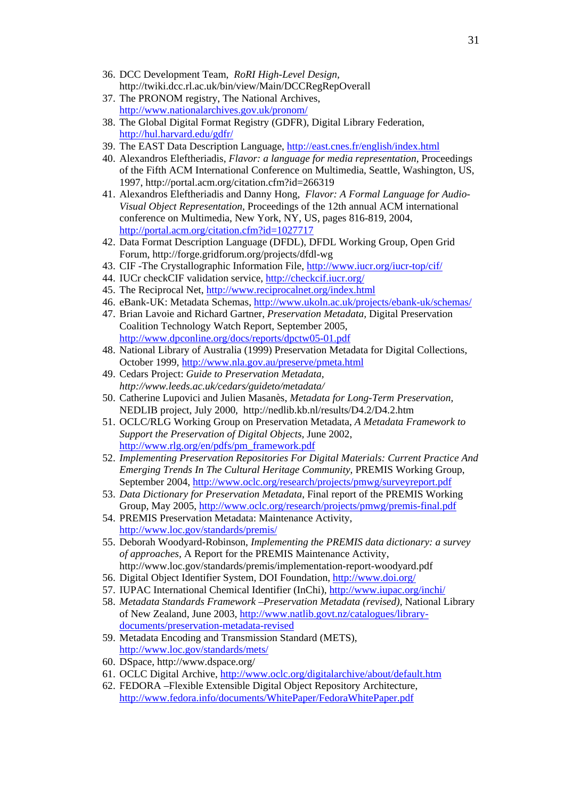- <span id="page-30-2"></span>36. DCC Development Team, *RoRI High-Level Design,*  http://twiki.dcc.rl.ac.uk/bin/view/Main/DCCRegRepOverall
- <span id="page-30-3"></span>37. The PRONOM registry, The National Archives, <http://www.nationalarchives.gov.uk/pronom/>
- <span id="page-30-4"></span>38. The Global Digital Format Registry (GDFR), Digital Library Federation, <http://hul.harvard.edu/gdfr/>
- <span id="page-30-5"></span>39. The EAST Data Description Language, <http://east.cnes.fr/english/index.html>
- <span id="page-30-6"></span>40. Alexandros Eleftheriadis, *Flavor: a language for media representation,* Proceedings of the Fifth ACM International Conference on Multimedia, Seattle, Washington, US, 1997, http://portal.acm.org/citation.cfm?id=266319
- <span id="page-30-7"></span>41. Alexandros Eleftheriadis and Danny Hong, *Flavor: A Formal Language for Audio-Visual Object Representation*, Proceedings of the 12th annual ACM international conference on Multimedia, New York, NY, US, pages 816-819, 2004, <http://portal.acm.org/citation.cfm?id=1027717>
- <span id="page-30-8"></span>42. Data Format Description Language (DFDL), DFDL Working Group, Open Grid Forum, http://forge.gridforum.org/projects/dfdl-wg
- <span id="page-30-9"></span>43. CIF -The Crystallographic Information File,<http://www.iucr.org/iucr-top/cif/>
- <span id="page-30-10"></span>44. IUCr checkCIF validation service,<http://checkcif.iucr.org/>
- <span id="page-30-11"></span>45. The Reciprocal Net, <http://www.reciprocalnet.org/index.html>
- <span id="page-30-1"></span>46. eBank-UK: Metadata Schemas, <http://www.ukoln.ac.uk/projects/ebank-uk/schemas/>
- <span id="page-30-12"></span>47. Brian Lavoie and Richard Gartner, *Preservation Metadata,* Digital Preservation Coalition Technology Watch Report, September 2005, <http://www.dpconline.org/docs/reports/dpctw05-01.pdf>
- <span id="page-30-13"></span>48. National Library of Australia (1999) Preservation Metadata for Digital Collections, October 1999, <http://www.nla.gov.au/preserve/pmeta.html>
- <span id="page-30-14"></span>49. Cedars Project: *Guide to Preservation Metadata, http://www.leeds.ac.uk/cedars/guideto/metadata/*
- <span id="page-30-15"></span>50. Catherine Lupovici and Julien Masanès, *Metadata for Long-Term Preservation,*  NEDLIB project, July 2000, http://nedlib.kb.nl/results/D4.2/D4.2.htm
- <span id="page-30-16"></span>51. OCLC/RLG Working Group on Preservation Metadata, *A Metadata Framework to Support the Preservation of Digital Objects,* June 2002, [http://www.rlg.org/en/pdfs/pm\\_framework.pdf](http://www.rlg.org/en/pdfs/pm_framework.pdf)
- <span id="page-30-17"></span>52. *Implementing Preservation Repositories For Digital Materials: Current Practice And Emerging Trends In The Cultural Heritage Community*, PREMIS Working Group, September 2004,<http://www.oclc.org/research/projects/pmwg/surveyreport.pdf>
- <span id="page-30-0"></span>53. *Data Dictionary for Preservation Metadata*, Final report of the PREMIS Working Group, May 2005,<http://www.oclc.org/research/projects/pmwg/premis-final.pdf>
- <span id="page-30-18"></span>54. PREMIS Preservation Metadata: Maintenance Activity, <http://www.loc.gov/standards/premis/>
- <span id="page-30-19"></span>55. Deborah Woodyard-Robinson, *Implementing the PREMIS data dictionary: a survey of approaches,* A Report for the PREMIS Maintenance Activity, http://www.loc.gov/standards/premis/implementation-report-woodyard.pdf
- <span id="page-30-21"></span>56. Digital Object Identifier System, DOI Foundation, <http://www.doi.org/>
- <span id="page-30-22"></span>57. IUPAC International Chemical Identifier (InChi),<http://www.iupac.org/inchi/>
- <span id="page-30-20"></span>58. *Metadata Standards Framework –Preservation Metadata (revised),* National Library of New Zealand, June 2003, [http://www.natlib.govt.nz/catalogues/library](http://www.natlib.govt.nz/catalogues/library-documents/preservation-metadata-revised)[documents/preservation-metadata-revised](http://www.natlib.govt.nz/catalogues/library-documents/preservation-metadata-revised)
- <span id="page-30-25"></span>59. Metadata Encoding and Transmission Standard (METS), <http://www.loc.gov/standards/mets/>
- <span id="page-30-23"></span>60. DSpace, http://www.dspace.org/
- <span id="page-30-24"></span>61. OCLC Digital Archive,<http://www.oclc.org/digitalarchive/about/default.htm>
- <span id="page-30-26"></span>62. FEDORA –Flexible Extensible Digital Object Repository Architecture, <http://www.fedora.info/documents/WhitePaper/FedoraWhitePaper.pdf>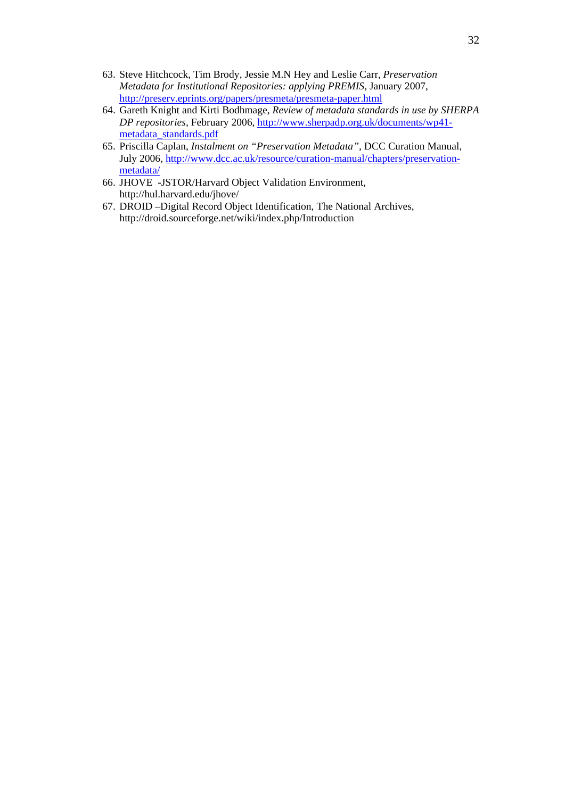- <span id="page-31-0"></span>63. Steve Hitchcock, Tim Brody, Jessie M.N Hey and Leslie Carr, *Preservation Metadata for Institutional Repositories: applying PREMIS,* January 2007, <http://preserv.eprints.org/papers/presmeta/presmeta-paper.html>
- <span id="page-31-1"></span>64. Gareth Knight and Kirti Bodhmage, *Review of metadata standards in use by SHERPA DP repositories,* February 2006, [http://www.sherpadp.org.uk/documents/wp41](http://www.sherpadp.org.uk/documents/wp41-metadata_standards.pdf) [metadata\\_standards.pdf](http://www.sherpadp.org.uk/documents/wp41-metadata_standards.pdf)
- <span id="page-31-2"></span>65. Priscilla Caplan, *Instalment on "Preservation Metadata",* DCC Curation Manual, July 2006, [http://www.dcc.ac.uk/resource/curation-manual/chapters/preservation](http://www.dcc.ac.uk/resource/curation-manual/chapters/preservation-metadata/)[metadata/](http://www.dcc.ac.uk/resource/curation-manual/chapters/preservation-metadata/)
- <span id="page-31-3"></span>66. JHOVE -JSTOR/Harvard Object Validation Environment, http://hul.harvard.edu/jhove/
- <span id="page-31-4"></span>67. DROID –Digital Record Object Identification, The National Archives, http://droid.sourceforge.net/wiki/index.php/Introduction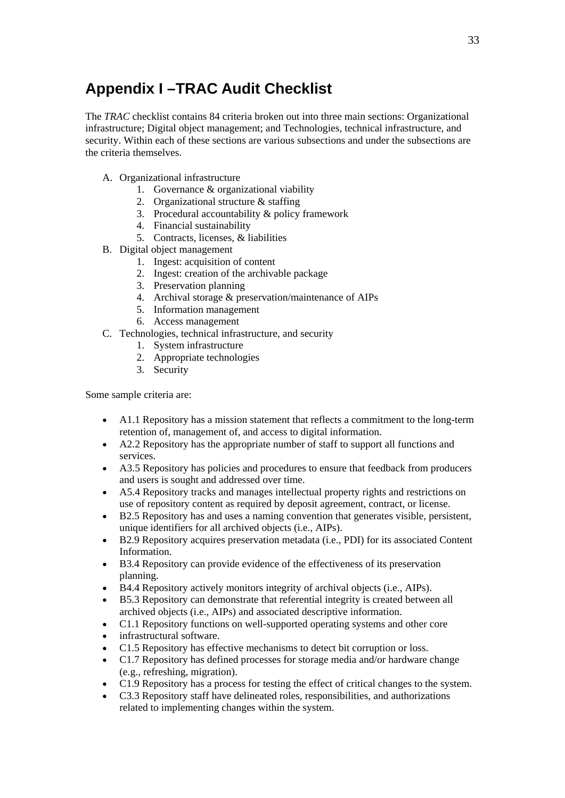## <span id="page-32-0"></span>**Appendix I –TRAC Audit Checklist**

The *TRAC* checklist contains 84 criteria broken out into three main sections: Organizational infrastructure; Digital object management; and Technologies, technical infrastructure, and security. Within each of these sections are various subsections and under the subsections are the criteria themselves.

- A. Organizational infrastructure
	- 1. Governance & organizational viability
	- 2. Organizational structure & staffing
	- 3. Procedural accountability & policy framework
	- 4. Financial sustainability
	- 5. Contracts, licenses, & liabilities
- B. Digital object management
	- 1. Ingest: acquisition of content
	- 2. Ingest: creation of the archivable package
	- 3. Preservation planning
	- 4. Archival storage & preservation/maintenance of AIPs
	- 5. Information management
	- 6. Access management
- C. Technologies, technical infrastructure, and security
	- 1. System infrastructure
	- 2. Appropriate technologies
	- 3. Security

Some sample criteria are:

- A1.1 Repository has a mission statement that reflects a commitment to the long-term retention of, management of, and access to digital information.
- A2.2 Repository has the appropriate number of staff to support all functions and services.
- A3.5 Repository has policies and procedures to ensure that feedback from producers and users is sought and addressed over time.
- A5.4 Repository tracks and manages intellectual property rights and restrictions on use of repository content as required by deposit agreement, contract, or license.
- B2.5 Repository has and uses a naming convention that generates visible, persistent, unique identifiers for all archived objects (i.e., AIPs).
- B2.9 Repository acquires preservation metadata (i.e., PDI) for its associated Content Information.
- B3.4 Repository can provide evidence of the effectiveness of its preservation planning.
- B4.4 Repository actively monitors integrity of archival objects (i.e., AIPs).
- B5.3 Repository can demonstrate that referential integrity is created between all archived objects (i.e., AIPs) and associated descriptive information.
- C1.1 Repository functions on well-supported operating systems and other core
- infrastructural software.
- C1.5 Repository has effective mechanisms to detect bit corruption or loss.
- C1.7 Repository has defined processes for storage media and/or hardware change (e.g., refreshing, migration).
- C1.9 Repository has a process for testing the effect of critical changes to the system.
- C3.3 Repository staff have delineated roles, responsibilities, and authorizations related to implementing changes within the system.